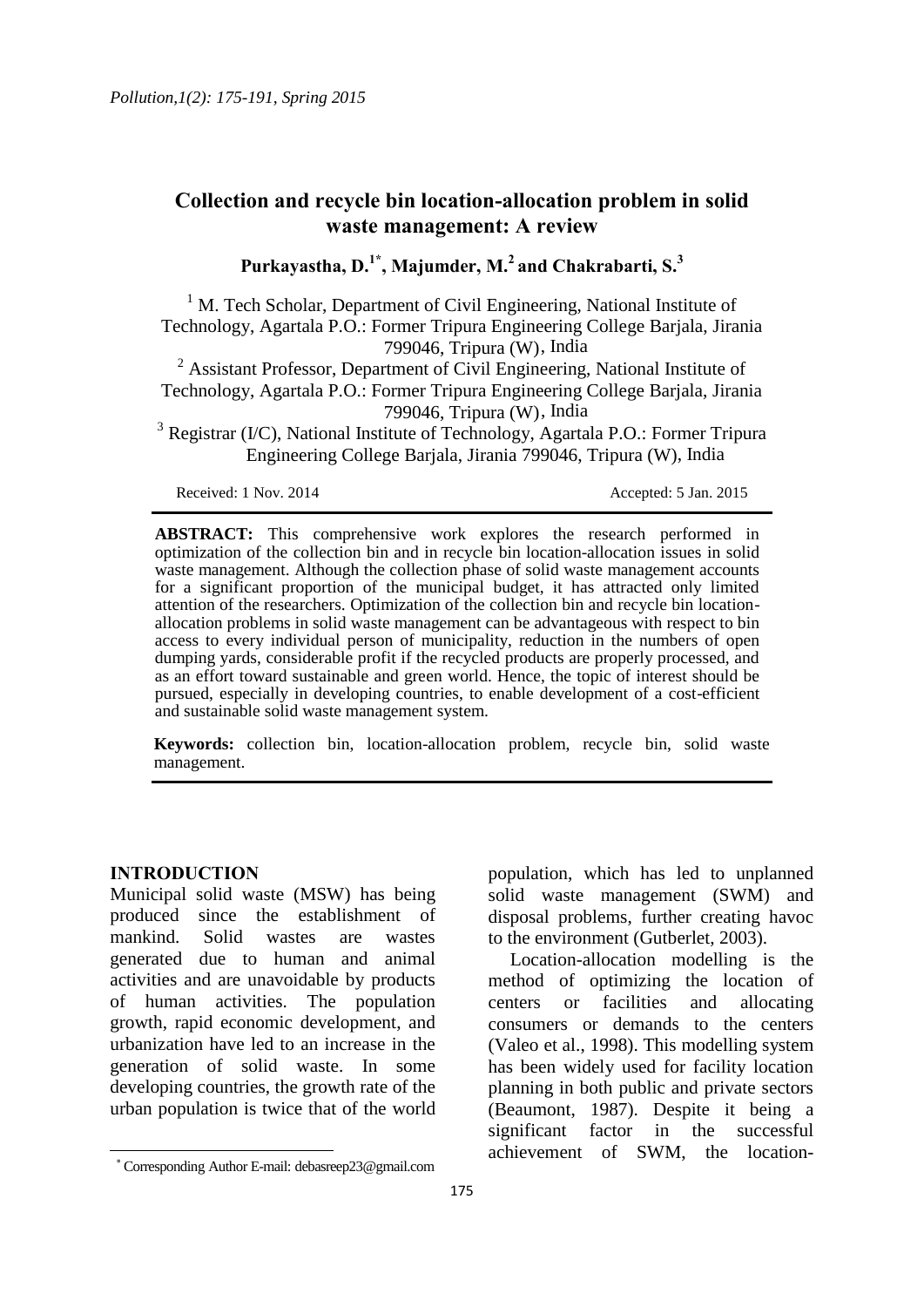# **Collection and recycle bin location-allocation problem in solid waste management: A review**

**Purkayastha, D.1\*, Majumder, M.<sup>2</sup>and Chakrabarti, S.<sup>3</sup>**

 $<sup>1</sup>$  M. Tech Scholar, Department of Civil Engineering, National Institute of</sup> Technology, Agartala P.O.: Former Tripura Engineering College Barjala, Jirania 799046, Tripura (W), India

<sup>2</sup> Assistant Professor, Department of Civil Engineering, National Institute of Technology, Agartala P.O.: Former Tripura Engineering College Barjala, Jirania 799046, Tripura (W), India

<sup>3</sup> Registrar (I/C), National Institute of Technology, Agartala P.O.: Former Tripura Engineering College Barjala, Jirania 799046, Tripura (W), India

Received: 1 Nov. 2014 Accepted: 5 Jan. 2015

**ABSTRACT:** This comprehensive work explores the research performed in optimization of the collection bin and in recycle bin location-allocation issues in solid waste management. Although the collection phase of solid waste management accounts for a significant proportion of the municipal budget, it has attracted only limited attention of the researchers. Optimization of the collection bin and recycle bin locationallocation problems in solid waste management can be advantageous with respect to bin access to every individual person of municipality, reduction in the numbers of open dumping yards, considerable profit if the recycled products are properly processed, and as an effort toward sustainable and green world. Hence, the topic of interest should be pursued, especially in developing countries, to enable development of a cost-efficient and sustainable solid waste management system.

**Keywords:** collection bin, location-allocation problem, recycle bin, solid waste management.

## **INTRODUCTION**

 $\overline{\phantom{a}}$ 

Municipal solid waste (MSW) has being produced since the establishment of mankind. Solid wastes are wastes generated due to human and animal activities and are unavoidable by products of human activities. The population growth, rapid economic development, and urbanization have led to an increase in the generation of solid waste. In some developing countries, the growth rate of the urban population is twice that of the world

population, which has led to unplanned solid waste management (SWM) and disposal problems, further creating havoc to the environment (Gutberlet, 2003).

Location-allocation modelling is the method of optimizing the location of centers or facilities and allocating consumers or demands to the centers (Valeo et al., 1998). This modelling system has been widely used for facility location planning in both public and private sectors (Beaumont, 1987). Despite it being a significant factor in the successful achievement of SWM, the location-

 Corresponding Author E-mail: debasreep23@gmail.com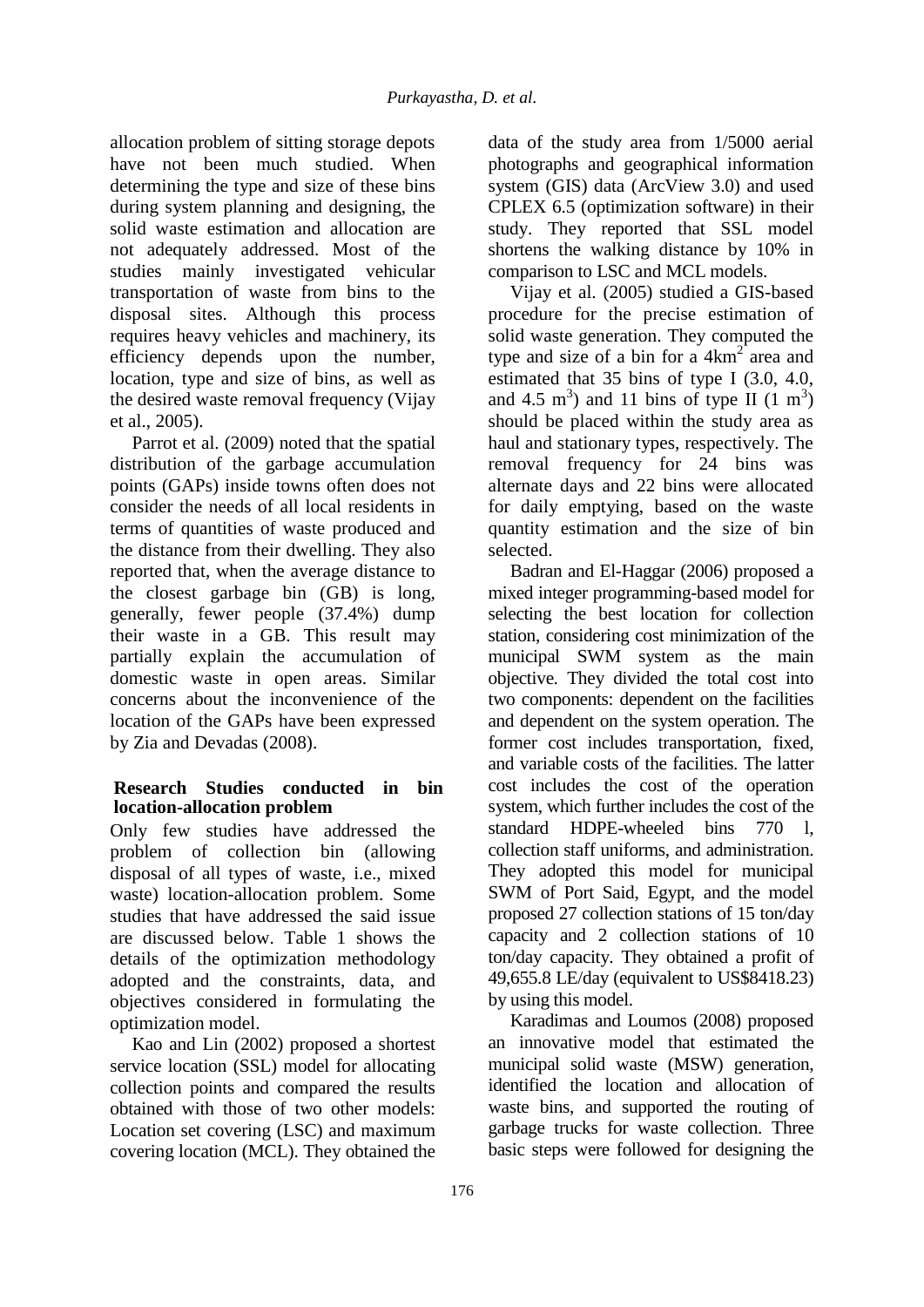allocation problem of sitting storage depots have not been much studied. When determining the type and size of these bins during system planning and designing, the solid waste estimation and allocation are not adequately addressed. Most of the studies mainly investigated vehicular transportation of waste from bins to the disposal sites. Although this process requires heavy vehicles and machinery, its efficiency depends upon the number, location, type and size of bins, as well as the desired waste removal frequency (Vijay et al., 2005).

Parrot et al. (2009) noted that the spatial distribution of the garbage accumulation points (GAPs) inside towns often does not consider the needs of all local residents in terms of quantities of waste produced and the distance from their dwelling. They also reported that, when the average distance to the closest garbage bin (GB) is long, generally, fewer people (37.4%) dump their waste in a GB. This result may partially explain the accumulation of domestic waste in open areas. Similar concerns about the inconvenience of the location of the GAPs have been expressed by Zia and Devadas (2008).

## **Research Studies conducted in bin location-allocation problem**

Only few studies have addressed the problem of collection bin (allowing disposal of all types of waste, i.e., mixed waste) location-allocation problem. Some studies that have addressed the said issue are discussed below. Table 1 shows the details of the optimization methodology adopted and the constraints, data, and objectives considered in formulating the optimization model.

Kao and Lin (2002) proposed a shortest service location (SSL) model for allocating collection points and compared the results obtained with those of two other models: Location set covering (LSC) and maximum covering location (MCL). They obtained the data of the study area from 1/5000 aerial photographs and geographical information system (GIS) data (ArcView 3.0) and used CPLEX 6.5 (optimization software) in their study. They reported that SSL model shortens the walking distance by 10% in comparison to LSC and MCL models.

Vijay et al. (2005) studied a GIS-based procedure for the precise estimation of solid waste generation. They computed the type and size of a bin for a  $4km^2$  area and estimated that 35 bins of type I (3.0, 4.0, and 4.5 m<sup>3</sup>) and 11 bins of type II  $(1 \text{ m}^3)$ should be placed within the study area as haul and stationary types, respectively. The removal frequency for 24 bins was alternate days and 22 bins were allocated for daily emptying, based on the waste quantity estimation and the size of bin selected.

Badran and El-Haggar (2006) proposed a mixed integer programming-based model for selecting the best location for collection station, considering cost minimization of the municipal SWM system as the main objective. They divided the total cost into two components: dependent on the facilities and dependent on the system operation. The former cost includes transportation, fixed, and variable costs of the facilities. The latter cost includes the cost of the operation system, which further includes the cost of the standard HDPE-wheeled bins 770 l, collection staff uniforms, and administration. They adopted this model for municipal SWM of Port Said, Egypt, and the model proposed 27 collection stations of 15 ton/day capacity and 2 collection stations of 10 ton/day capacity. They obtained a profit of 49,655.8 LE/day (equivalent to US\$8418.23) by using this model.

Karadimas and Loumos (2008) proposed an innovative model that estimated the municipal solid waste (MSW) generation, identified the location and allocation of waste bins, and supported the routing of garbage trucks for waste collection. Three basic steps were followed for designing the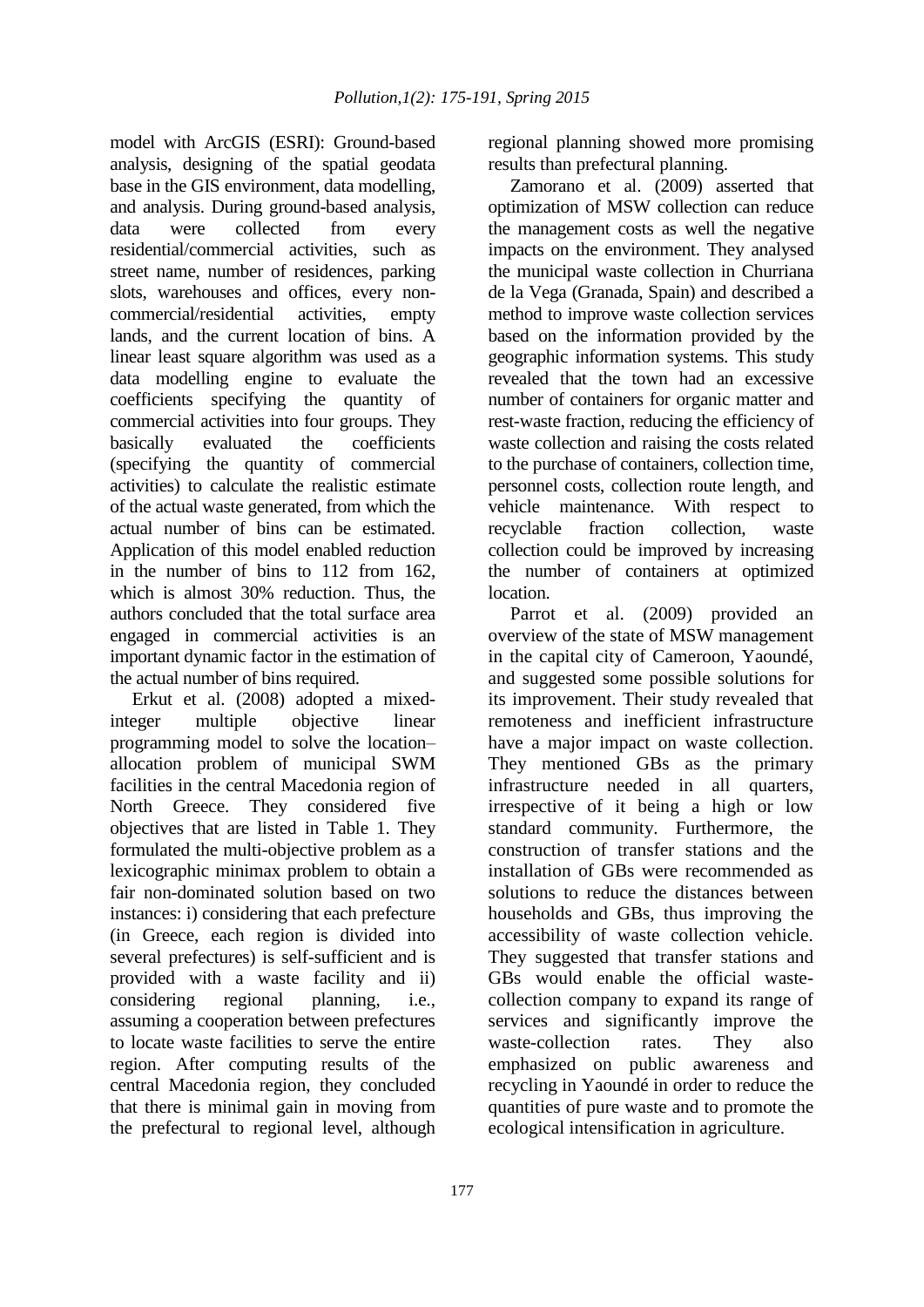model with ArcGIS (ESRI): Ground-based analysis, designing of the spatial geodata base in the GIS environment, data modelling, and analysis. During ground-based analysis, data were collected from every residential/commercial activities, such as street name, number of residences, parking slots, warehouses and offices, every noncommercial/residential activities, empty lands, and the current location of bins. A linear least square algorithm was used as a data modelling engine to evaluate the coefficients specifying the quantity of commercial activities into four groups. They basically evaluated the coefficients (specifying the quantity of commercial activities) to calculate the realistic estimate of the actual waste generated, from which the actual number of bins can be estimated. Application of this model enabled reduction in the number of bins to 112 from 162, which is almost 30% reduction. Thus, the authors concluded that the total surface area engaged in commercial activities is an important dynamic factor in the estimation of the actual number of bins required.

Erkut et al. (2008) adopted a mixedinteger multiple objective linear programming model to solve the location– allocation problem of municipal SWM facilities in the central Macedonia region of North Greece. They considered five objectives that are listed in Table 1. They formulated the multi-objective problem as a lexicographic minimax problem to obtain a fair non-dominated solution based on two instances: i) considering that each prefecture (in Greece, each region is divided into several prefectures) is self-sufficient and is provided with a waste facility and ii) considering regional planning, i.e., assuming a cooperation between prefectures to locate waste facilities to serve the entire region. After computing results of the central Macedonia region, they concluded that there is minimal gain in moving from the prefectural to regional level, although

regional planning showed more promising results than prefectural planning.

Zamorano et al. (2009) asserted that optimization of MSW collection can reduce the management costs as well the negative impacts on the environment. They analysed the municipal waste collection in Churriana de la Vega (Granada, Spain) and described a method to improve waste collection services based on the information provided by the geographic information systems. This study revealed that the town had an excessive number of containers for organic matter and rest-waste fraction, reducing the efficiency of waste collection and raising the costs related to the purchase of containers, collection time, personnel costs, collection route length, and vehicle maintenance. With respect to recyclable fraction collection, waste collection could be improved by increasing the number of containers at optimized location.

Parrot et al. (2009) provided an overview of the state of MSW management in the capital city of Cameroon, Yaoundé, and suggested some possible solutions for its improvement. Their study revealed that remoteness and inefficient infrastructure have a major impact on waste collection. They mentioned GBs as the primary infrastructure needed in all quarters, irrespective of it being a high or low standard community. Furthermore, the construction of transfer stations and the installation of GBs were recommended as solutions to reduce the distances between households and GBs, thus improving the accessibility of waste collection vehicle. They suggested that transfer stations and GBs would enable the official wastecollection company to expand its range of services and significantly improve the waste-collection rates. They also emphasized on public awareness and recycling in Yaoundé in order to reduce the quantities of pure waste and to promote the ecological intensification in agriculture.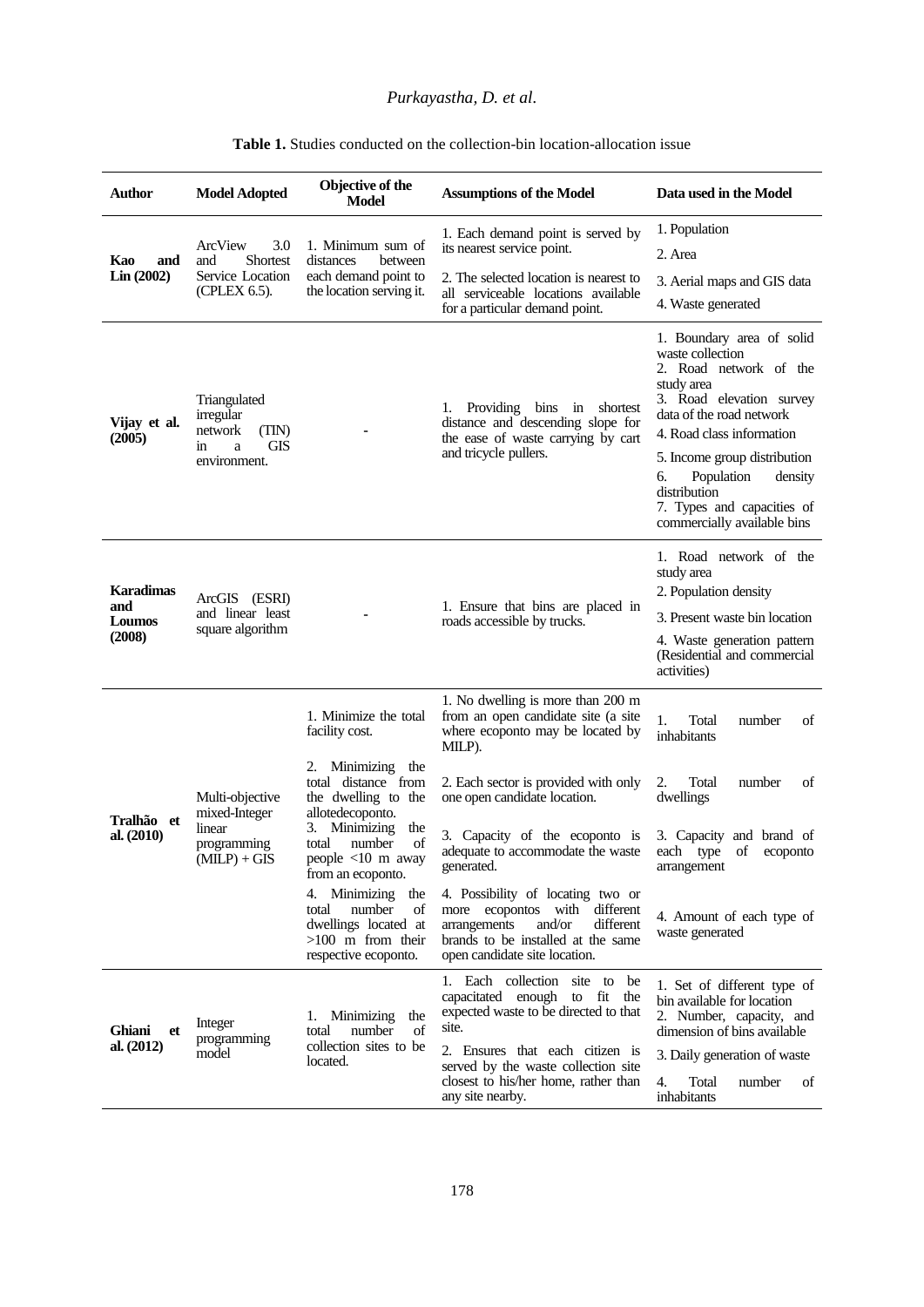## *Purkayastha, D. et al.*

| Author                                      | <b>Model Adopted</b>                                                            | <b>Objective of the</b><br>Model                                                                                                                                                                                                                                                                             | <b>Assumptions of the Model</b>                                                                                                                                                                                                                        | Data used in the Model                                                                                                                                                                                                                                                                                                 |
|---------------------------------------------|---------------------------------------------------------------------------------|--------------------------------------------------------------------------------------------------------------------------------------------------------------------------------------------------------------------------------------------------------------------------------------------------------------|--------------------------------------------------------------------------------------------------------------------------------------------------------------------------------------------------------------------------------------------------------|------------------------------------------------------------------------------------------------------------------------------------------------------------------------------------------------------------------------------------------------------------------------------------------------------------------------|
| Kao<br>and<br>Lin(2002)                     |                                                                                 | 1. Minimum sum of<br>distances<br>between<br>each demand point to<br>the location serving it.                                                                                                                                                                                                                | 1. Each demand point is served by<br>its nearest service point.                                                                                                                                                                                        | 1. Population                                                                                                                                                                                                                                                                                                          |
|                                             | ArcView<br>3.0<br><b>Shortest</b><br>and                                        |                                                                                                                                                                                                                                                                                                              |                                                                                                                                                                                                                                                        | 2. Area                                                                                                                                                                                                                                                                                                                |
|                                             | Service Location<br>(CPLEX 6.5).                                                |                                                                                                                                                                                                                                                                                                              | 2. The selected location is nearest to<br>all serviceable locations available<br>for a particular demand point.                                                                                                                                        | 3. Aerial maps and GIS data                                                                                                                                                                                                                                                                                            |
|                                             |                                                                                 |                                                                                                                                                                                                                                                                                                              |                                                                                                                                                                                                                                                        | 4. Waste generated                                                                                                                                                                                                                                                                                                     |
| Vijay et al.<br>(2005)                      | Triangulated<br>irregular<br>network<br>(TIN)<br>GIS<br>in<br>a<br>environment. |                                                                                                                                                                                                                                                                                                              | 1. Providing bins<br>in<br>shortest<br>distance and descending slope for<br>the ease of waste carrying by cart<br>and tricycle pullers.                                                                                                                | 1. Boundary area of solid<br>waste collection<br>2. Road network of the<br>study area<br>3. Road elevation survey<br>data of the road network<br>4. Road class information<br>5. Income group distribution<br>Population<br>6.<br>density<br>distribution<br>7. Types and capacities of<br>commercially available bins |
| <b>Karadimas</b><br>and<br>Loumos<br>(2008) | ArcGIS (ESRI)<br>and linear least<br>square algorithm                           |                                                                                                                                                                                                                                                                                                              | 1. Ensure that bins are placed in<br>roads accessible by trucks.                                                                                                                                                                                       | 1. Road network of the<br>study area<br>2. Population density<br>3. Present waste bin location<br>4. Waste generation pattern<br>(Residential and commercial<br>activities)                                                                                                                                            |
| Tralhão et<br>al. $(2010)$                  | Multi-objective<br>mixed-Integer<br>linear<br>programming<br>$(MILP) + GIS$     | 1. Minimize the total<br>facility cost.                                                                                                                                                                                                                                                                      | 1. No dwelling is more than 200 m<br>from an open candidate site (a site<br>where ecoponto may be located by<br>MILP).                                                                                                                                 | 1.<br>Total<br>number<br>οf<br>inhabitants                                                                                                                                                                                                                                                                             |
|                                             |                                                                                 | Minimizing<br>2.<br>the<br>total distance from<br>the dwelling to the<br>allotedecoponto.<br>3. Minimizing<br>the<br>number<br>total<br>of<br>people <10 m away<br>from an ecoponto.<br>4. Minimizing<br>the<br>number<br>of<br>total<br>dwellings located at<br>$>100$ m from their<br>respective ecoponto. | 2. Each sector is provided with only<br>one open candidate location.                                                                                                                                                                                   | 2.<br>Total<br>number<br>of<br>dwellings                                                                                                                                                                                                                                                                               |
|                                             |                                                                                 |                                                                                                                                                                                                                                                                                                              | 3. Capacity of the ecoponto is<br>adequate to accommodate the waste<br>generated.                                                                                                                                                                      | 3. Capacity and brand of<br>each type<br>of<br>ecoponto<br>arrangement                                                                                                                                                                                                                                                 |
|                                             |                                                                                 |                                                                                                                                                                                                                                                                                                              | 4. Possibility of locating two or<br>more ecopontos with different<br>arrangements<br>and/or<br>different<br>brands to be installed at the same<br>open candidate site location.                                                                       | 4. Amount of each type of<br>waste generated                                                                                                                                                                                                                                                                           |
| <b>Ghiani</b><br>et<br>al. $(2012)$         | Integer<br>programming<br>model                                                 | 1. Minimizing<br>the<br>of<br>number<br>total<br>collection sites to be<br>located.                                                                                                                                                                                                                          | 1. Each collection site to be<br>capacitated enough to fit the<br>expected waste to be directed to that<br>site.<br>2. Ensures that each citizen is<br>served by the waste collection site<br>closest to his/her home, rather than<br>any site nearby. | 1. Set of different type of<br>bin available for location<br>2. Number, capacity, and<br>dimension of bins available                                                                                                                                                                                                   |
|                                             |                                                                                 |                                                                                                                                                                                                                                                                                                              |                                                                                                                                                                                                                                                        | 3. Daily generation of waste<br>Total<br>4.<br>number<br>of<br>inhabitants                                                                                                                                                                                                                                             |

### **Table 1.** Studies conducted on the collection-bin location-allocation issue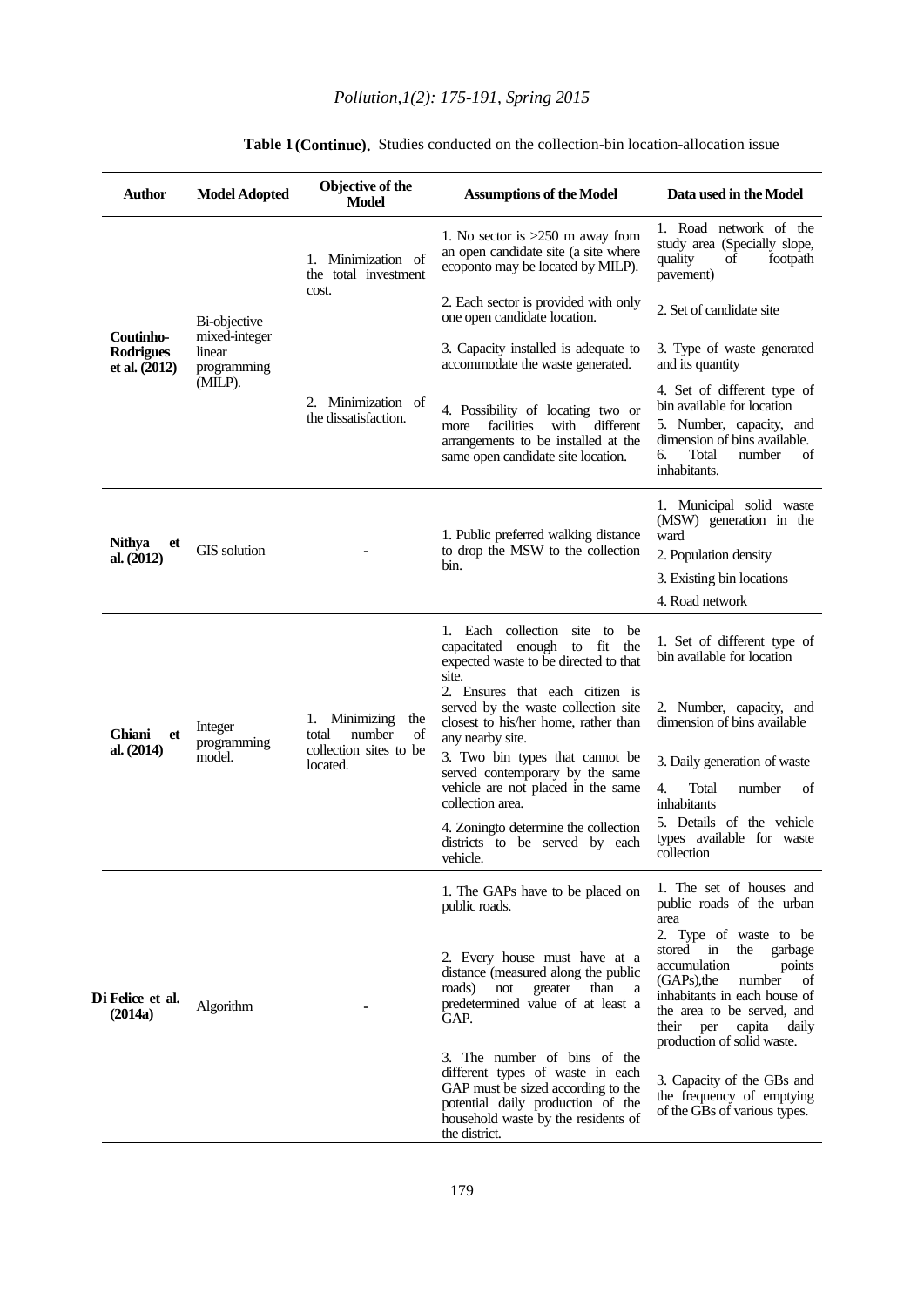# *Pollution,1(2): 175-191, Spring 2015*

| <b>Author</b>                                    | <b>Model Adopted</b>                                              | Objective of the<br><b>Model</b>                                                       | <b>Assumptions of the Model</b>                                                                                                                                                                                                                                                                                                                                                                       | Data used in the Model                                                                                                                                                                                                                                                                                                                                                                                 |
|--------------------------------------------------|-------------------------------------------------------------------|----------------------------------------------------------------------------------------|-------------------------------------------------------------------------------------------------------------------------------------------------------------------------------------------------------------------------------------------------------------------------------------------------------------------------------------------------------------------------------------------------------|--------------------------------------------------------------------------------------------------------------------------------------------------------------------------------------------------------------------------------------------------------------------------------------------------------------------------------------------------------------------------------------------------------|
| Coutinho-<br><b>Rodrigues</b><br>et al. $(2012)$ | Bi-objective<br>mixed-integer<br>linear<br>programming<br>(MILP). | 1. Minimization of<br>the total investment<br>cost.                                    | 1. No sector is $>250$ m away from<br>an open candidate site (a site where<br>ecoponto may be located by MILP).                                                                                                                                                                                                                                                                                       | 1. Road network of the<br>study area (Specially slope,<br>quality<br>of<br>footpath<br>pavement)                                                                                                                                                                                                                                                                                                       |
|                                                  |                                                                   |                                                                                        | 2. Each sector is provided with only<br>one open candidate location.                                                                                                                                                                                                                                                                                                                                  | 2. Set of candidate site                                                                                                                                                                                                                                                                                                                                                                               |
|                                                  |                                                                   | 2. Minimization of<br>the dissatisfaction.                                             | 3. Capacity installed is adequate to<br>accommodate the waste generated.                                                                                                                                                                                                                                                                                                                              | 3. Type of waste generated<br>and its quantity                                                                                                                                                                                                                                                                                                                                                         |
|                                                  |                                                                   |                                                                                        | 4. Possibility of locating two or<br>facilities<br>with different<br>more<br>arrangements to be installed at the<br>same open candidate site location.                                                                                                                                                                                                                                                | 4. Set of different type of<br>bin available for location<br>5. Number, capacity, and<br>dimension of bins available.<br>б.<br>Total<br>number<br>of<br>inhabitants.                                                                                                                                                                                                                                   |
| <b>Nithya</b><br>et                              | GIS solution                                                      |                                                                                        | 1. Public preferred walking distance<br>to drop the MSW to the collection<br>bin.                                                                                                                                                                                                                                                                                                                     | 1. Municipal solid waste<br>(MSW) generation in the<br>ward<br>2. Population density                                                                                                                                                                                                                                                                                                                   |
| al. $(2012)$                                     |                                                                   |                                                                                        |                                                                                                                                                                                                                                                                                                                                                                                                       | 3. Existing bin locations                                                                                                                                                                                                                                                                                                                                                                              |
|                                                  |                                                                   |                                                                                        |                                                                                                                                                                                                                                                                                                                                                                                                       | 4. Road network                                                                                                                                                                                                                                                                                                                                                                                        |
| Ghiani<br>et<br>al. $(2014)$                     | Integer<br>programming<br>model.                                  | Minimizing<br>1.<br>the<br>total<br>number<br>of<br>collection sites to be<br>located. | 1. Each collection site to<br>be<br>capacitated enough to fit the<br>expected waste to be directed to that<br>site.<br>2. Ensures that each citizen is<br>served by the waste collection site<br>closest to his/her home, rather than                                                                                                                                                                 | 1. Set of different type of<br>bin available for location<br>2. Number, capacity, and<br>dimension of bins available                                                                                                                                                                                                                                                                                   |
|                                                  |                                                                   |                                                                                        | any nearby site.<br>3. Two bin types that cannot be<br>served contemporary by the same<br>vehicle are not placed in the same<br>collection area.                                                                                                                                                                                                                                                      | 3. Daily generation of waste<br>4.<br>Total<br>number<br>οf<br>inhabitants                                                                                                                                                                                                                                                                                                                             |
|                                                  |                                                                   |                                                                                        | 4. Zoningto determine the collection<br>districts to be served by each<br>vehicle.                                                                                                                                                                                                                                                                                                                    | 5. Details of the vehicle<br>types available for waste<br>collection                                                                                                                                                                                                                                                                                                                                   |
| Di Felice et al.<br>(2014a)                      | Algorithm                                                         |                                                                                        | 1. The GAPs have to be placed on<br>public roads.<br>2. Every house must have at a<br>distance (measured along the public<br>roads)<br>not<br>greater<br>than<br>а<br>predetermined value of at least a<br>GAP.<br>3. The number of bins of the<br>different types of waste in each<br>GAP must be sized according to the<br>potential daily production of the<br>household waste by the residents of | 1. The set of houses and<br>public roads of the urban<br>area<br>2. Type of waste to be<br>stored in<br>the<br>garbage<br>accumulation<br>points<br>(GAPs), the<br>number<br>of<br>inhabitants in each house of<br>the area to be served, and<br>their per<br>daily<br>capita<br>production of solid waste.<br>3. Capacity of the GBs and<br>the frequency of emptying<br>of the GBs of various types. |

#### Table 1 (Continue). Studies conducted on the collection-bin location-allocation issue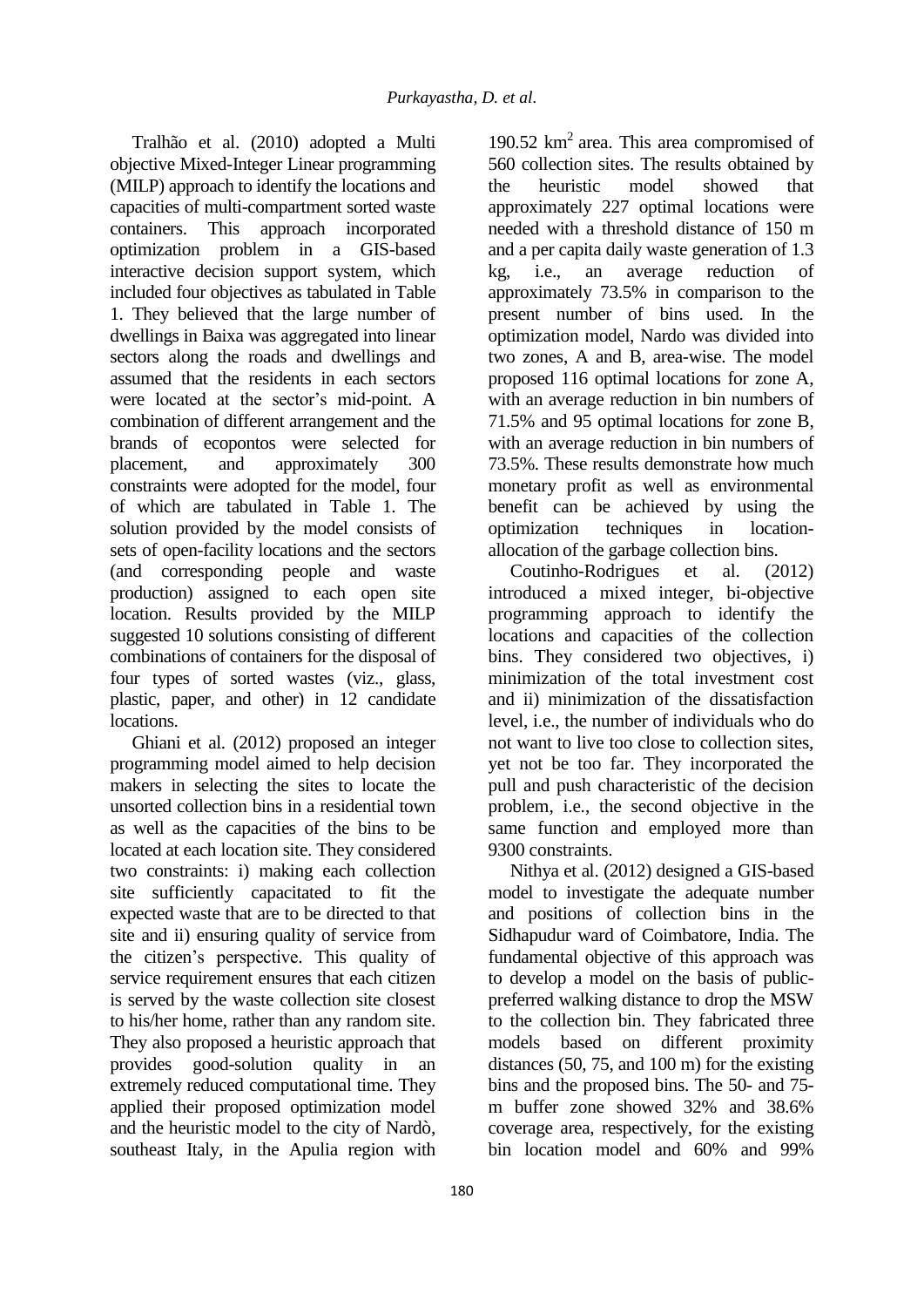Tralhão et al. (2010) adopted a Multi objective Mixed-Integer Linear programming (MILP) approach to identify the locations and capacities of multi-compartment sorted waste containers. This approach incorporated optimization problem in a GIS-based interactive decision support system, which included four objectives as tabulated in Table 1. They believed that the large number of dwellings in Baixa was aggregated into linear sectors along the roads and dwellings and assumed that the residents in each sectors were located at the sector's mid-point. A combination of different arrangement and the brands of ecopontos were selected for placement, and approximately 300 constraints were adopted for the model, four of which are tabulated in Table 1. The solution provided by the model consists of sets of open-facility locations and the sectors (and corresponding people and waste production) assigned to each open site location. Results provided by the MILP suggested 10 solutions consisting of different combinations of containers for the disposal of four types of sorted wastes (viz., glass, plastic, paper, and other) in 12 candidate locations.

Ghiani et al. (2012) proposed an integer programming model aimed to help decision makers in selecting the sites to locate the unsorted collection bins in a residential town as well as the capacities of the bins to be located at each location site. They considered two constraints: i) making each collection site sufficiently capacitated to fit the expected waste that are to be directed to that site and ii) ensuring quality of service from the citizen's perspective. This quality of service requirement ensures that each citizen is served by the waste collection site closest to his/her home, rather than any random site. They also proposed a heuristic approach that provides good-solution quality in an extremely reduced computational time. They applied their proposed optimization model and the heuristic model to the city of Nardò, southeast Italy, in the Apulia region with

190.52 km<sup>2</sup> area. This area compromised of 560 collection sites. The results obtained by the heuristic model showed that approximately 227 optimal locations were needed with a threshold distance of 150 m and a per capita daily waste generation of 1.3 kg, i.e., an average reduction of approximately 73.5% in comparison to the present number of bins used. In the optimization model, Nardo was divided into two zones, A and B, area-wise. The model proposed 116 optimal locations for zone A, with an average reduction in bin numbers of 71.5% and 95 optimal locations for zone B, with an average reduction in bin numbers of 73.5%. These results demonstrate how much monetary profit as well as environmental benefit can be achieved by using the optimization techniques in locationallocation of the garbage collection bins.

Coutinho-Rodrigues et al. (2012) introduced a mixed integer, bi-objective programming approach to identify the locations and capacities of the collection bins. They considered two objectives, i) minimization of the total investment cost and ii) minimization of the dissatisfaction level, i.e., the number of individuals who do not want to live too close to collection sites, yet not be too far. They incorporated the pull and push characteristic of the decision problem, i.e., the second objective in the same function and employed more than 9300 constraints.

Nithya et al. (2012) designed a GIS-based model to investigate the adequate number and positions of collection bins in the Sidhapudur ward of Coimbatore, India. The fundamental objective of this approach was to develop a model on the basis of publicpreferred walking distance to drop the MSW to the collection bin. They fabricated three models based on different proximity distances (50, 75, and 100 m) for the existing bins and the proposed bins. The 50- and 75 m buffer zone showed 32% and 38.6% coverage area, respectively, for the existing bin location model and 60% and 99%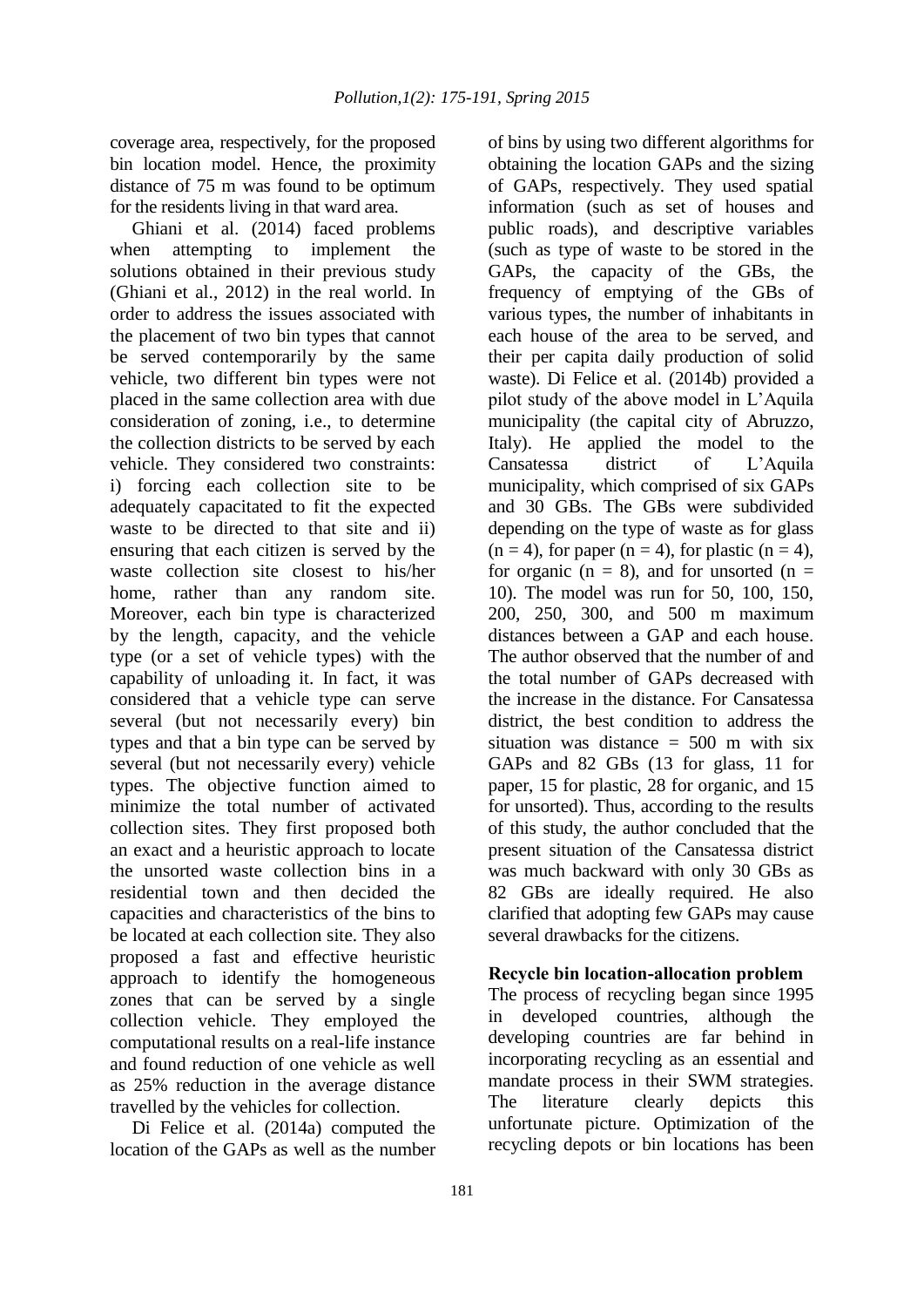coverage area, respectively, for the proposed bin location model. Hence, the proximity distance of 75 m was found to be optimum for the residents living in that ward area.

Ghiani et al. (2014) faced problems when attempting to implement the solutions obtained in their previous study (Ghiani et al., 2012) in the real world. In order to address the issues associated with the placement of two bin types that cannot be served contemporarily by the same vehicle, two different bin types were not placed in the same collection area with due consideration of zoning, i.e., to determine the collection districts to be served by each vehicle. They considered two constraints: i) forcing each collection site to be adequately capacitated to fit the expected waste to be directed to that site and ii) ensuring that each citizen is served by the waste collection site closest to his/her home, rather than any random site. Moreover, each bin type is characterized by the length, capacity, and the vehicle type (or a set of vehicle types) with the capability of unloading it. In fact, it was considered that a vehicle type can serve several (but not necessarily every) bin types and that a bin type can be served by several (but not necessarily every) vehicle types. The objective function aimed to minimize the total number of activated collection sites. They first proposed both an exact and a heuristic approach to locate the unsorted waste collection bins in a residential town and then decided the capacities and characteristics of the bins to be located at each collection site. They also proposed a fast and effective heuristic approach to identify the homogeneous zones that can be served by a single collection vehicle. They employed the computational results on a real-life instance and found reduction of one vehicle as well as 25% reduction in the average distance travelled by the vehicles for collection.

Di Felice et al. (2014a) computed the location of the GAPs as well as the number

of bins by using two different algorithms for obtaining the location GAPs and the sizing of GAPs, respectively. They used spatial information (such as set of houses and public roads), and descriptive variables (such as type of waste to be stored in the GAPs, the capacity of the GBs, the frequency of emptying of the GBs of various types, the number of inhabitants in each house of the area to be served, and their per capita daily production of solid waste). Di Felice et al. (2014b) provided a pilot study of the above model in L'Aquila municipality (the capital city of Abruzzo, Italy). He applied the model to the Cansatessa district of L'Aquila municipality, which comprised of six GAPs and 30 GBs. The GBs were subdivided depending on the type of waste as for glass  $(n = 4)$ , for paper  $(n = 4)$ , for plastic  $(n = 4)$ , for organic ( $n = 8$ ), and for unsorted ( $n =$ 10). The model was run for 50, 100, 150, 200, 250, 300, and 500 m maximum distances between a GAP and each house. The author observed that the number of and the total number of GAPs decreased with the increase in the distance. For Cansatessa district, the best condition to address the situation was distance  $= 500$  m with six GAPs and 82 GBs (13 for glass, 11 for paper, 15 for plastic, 28 for organic, and 15 for unsorted). Thus, according to the results of this study, the author concluded that the present situation of the Cansatessa district was much backward with only 30 GBs as 82 GBs are ideally required. He also clarified that adopting few GAPs may cause several drawbacks for the citizens.

## **Recycle bin location-allocation problem**

The process of recycling began since 1995 in developed countries, although the developing countries are far behind in incorporating recycling as an essential and mandate process in their SWM strategies. The literature clearly depicts this unfortunate picture. Optimization of the recycling depots or bin locations has been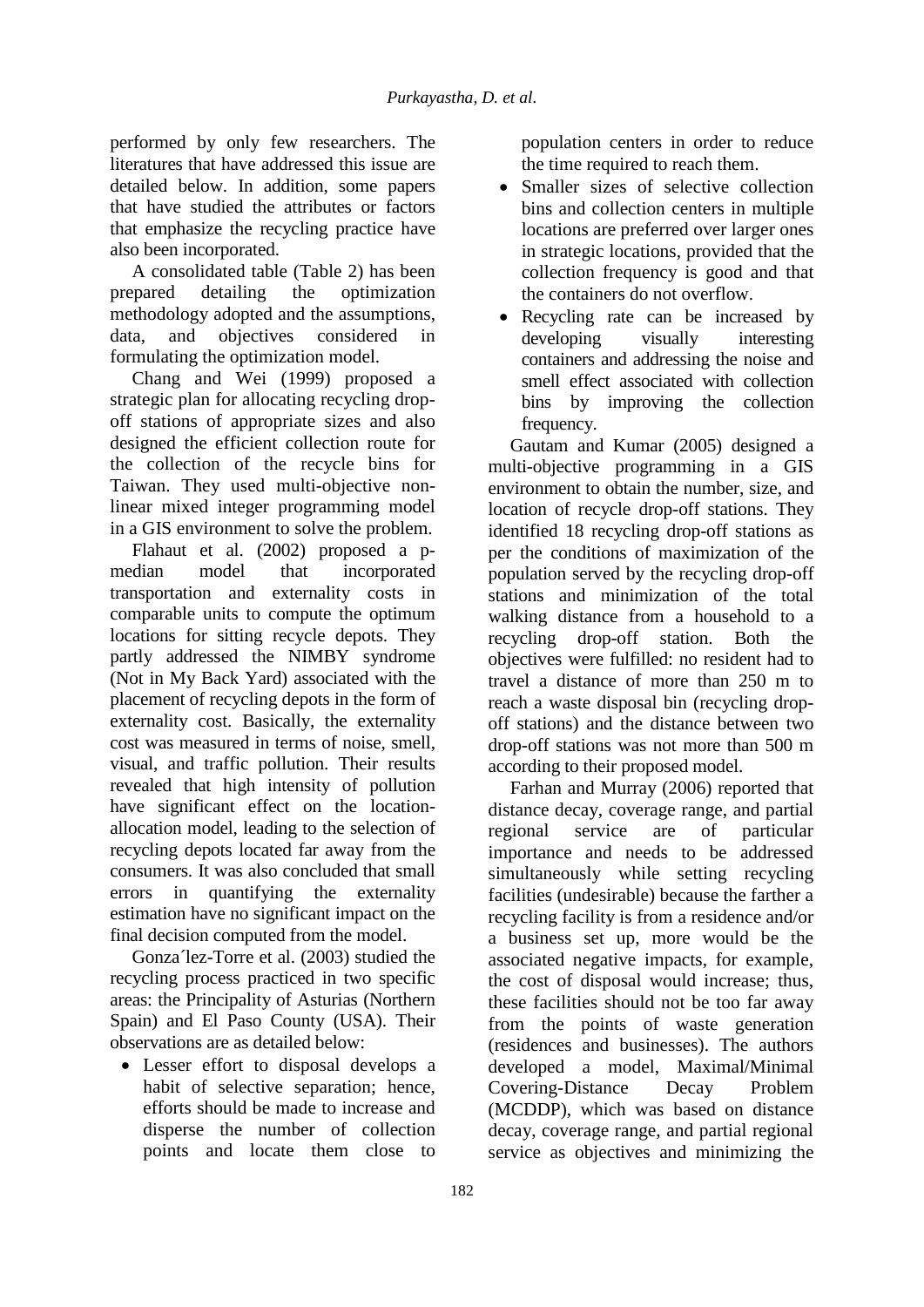performed by only few researchers. The literatures that have addressed this issue are detailed below. In addition, some papers that have studied the attributes or factors that emphasize the recycling practice have also been incorporated.

A consolidated table (Table 2) has been prepared detailing the optimization methodology adopted and the assumptions, data, and objectives considered in formulating the optimization model.

Chang and Wei (1999) proposed a strategic plan for allocating recycling dropoff stations of appropriate sizes and also designed the efficient collection route for the collection of the recycle bins for Taiwan. They used multi-objective nonlinear mixed integer programming model in a GIS environment to solve the problem.

Flahaut et al. (2002) proposed a pmedian model that incorporated transportation and externality costs in comparable units to compute the optimum locations for sitting recycle depots. They partly addressed the NIMBY syndrome (Not in My Back Yard) associated with the placement of recycling depots in the form of externality cost. Basically, the externality cost was measured in terms of noise, smell, visual, and traffic pollution. Their results revealed that high intensity of pollution have significant effect on the locationallocation model, leading to the selection of recycling depots located far away from the consumers. It was also concluded that small errors in quantifying the externality estimation have no significant impact on the final decision computed from the model.

Gonza´lez-Torre et al. (2003) studied the recycling process practiced in two specific areas: the Principality of Asturias (Northern Spain) and El Paso County (USA). Their observations are as detailed below:

 Lesser effort to disposal develops a habit of selective separation; hence, efforts should be made to increase and disperse the number of collection points and locate them close to

population centers in order to reduce the time required to reach them.

- Smaller sizes of selective collection bins and collection centers in multiple locations are preferred over larger ones in strategic locations, provided that the collection frequency is good and that the containers do not overflow.
- Recycling rate can be increased by developing visually interesting containers and addressing the noise and smell effect associated with collection bins by improving the collection frequency.

Gautam and Kumar (2005) designed a multi-objective programming in a GIS environment to obtain the number, size, and location of recycle drop-off stations. They identified 18 recycling drop-off stations as per the conditions of maximization of the population served by the recycling drop-off stations and minimization of the total walking distance from a household to a recycling drop-off station. Both the objectives were fulfilled: no resident had to travel a distance of more than 250 m to reach a waste disposal bin (recycling dropoff stations) and the distance between two drop-off stations was not more than 500 m according to their proposed model.

Farhan and Murray (2006) reported that distance decay, coverage range, and partial regional service are of particular importance and needs to be addressed simultaneously while setting recycling facilities (undesirable) because the farther a recycling facility is from a residence and/or a business set up, more would be the associated negative impacts, for example, the cost of disposal would increase; thus, these facilities should not be too far away from the points of waste generation (residences and businesses). The authors developed a model, Maximal/Minimal Covering-Distance Decay Problem (MCDDP), which was based on distance decay, coverage range, and partial regional service as objectives and minimizing the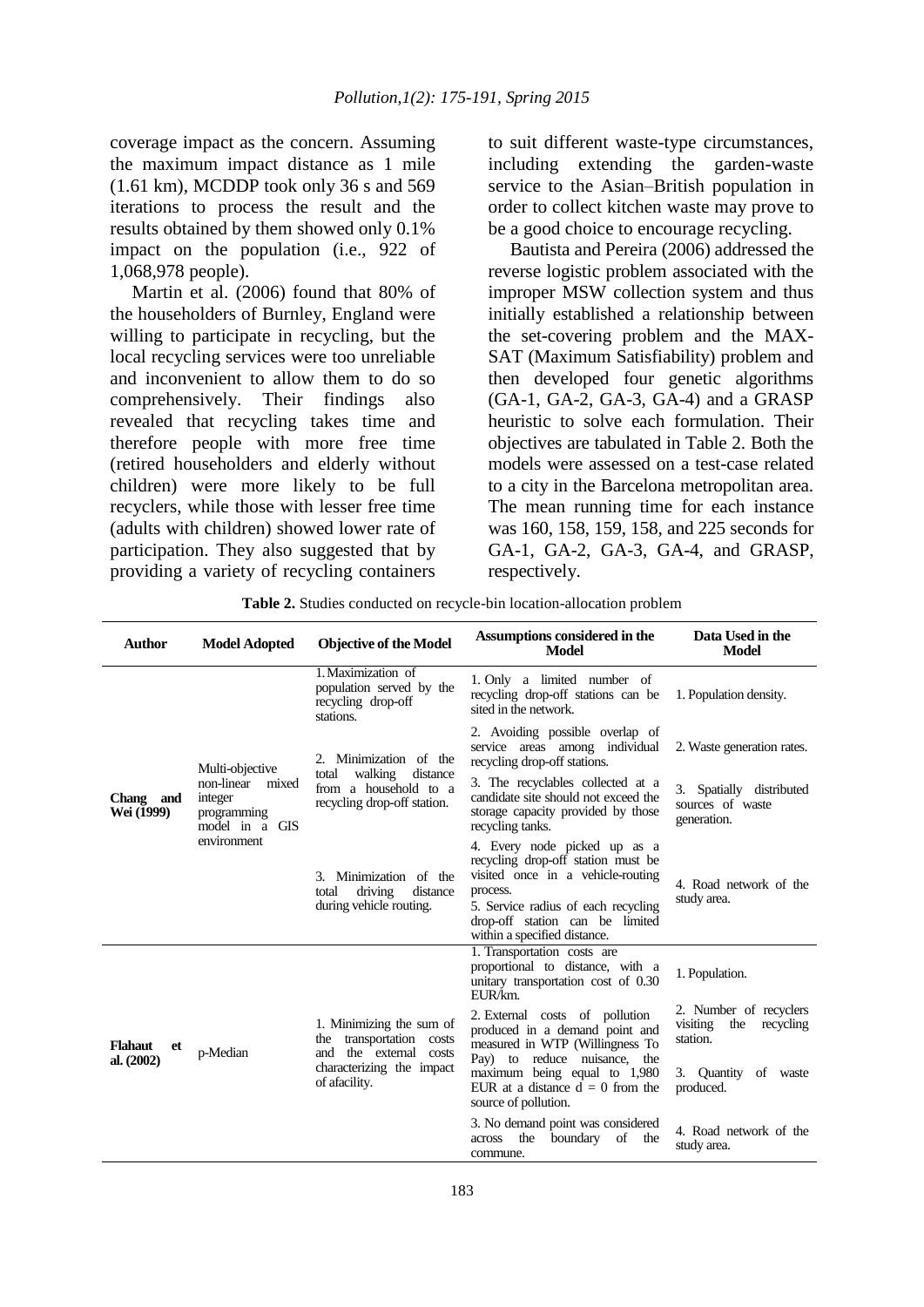coverage impact as the concern. Assuming the maximum impact distance as 1 mile (1.61 km), MCDDP took only 36 s and 569 iterations to process the result and the results obtained by them showed only 0.1% impact on the population (i.e., 922 of 1,068,978 people).

Martin et al. (2006) found that 80% of the householders of Burnley, England were willing to participate in recycling, but the local recycling services were too unreliable and inconvenient to allow them to do so comprehensively. Their findings also revealed that recycling takes time and therefore people with more free time (retired householders and elderly without children) were more likely to be full recyclers, while those with lesser free time (adults with children) showed lower rate of participation. They also suggested that by providing a variety of recycling containers to suit different waste-type circumstances, including extending the garden-waste service to the Asian–British population in order to collect kitchen waste may prove to be a good choice to encourage recycling.

Bautista and Pereira (2006) addressed the reverse logistic problem associated with the improper MSW collection system and thus initially established a relationship between the set-covering problem and the MAX-SAT (Maximum Satisfiability) problem and then developed four genetic algorithms (GA-1, GA-2, GA-3, GA-4) and a GRASP heuristic to solve each formulation. Their objectives are tabulated in Table 2. Both the models were assessed on a test-case related to a city in the Barcelona metropolitan area. The mean running time for each instance was 160, 158, 159, 158, and 225 seconds for GA-1, GA-2, GA-3, GA-4, and GRASP, respectively.

**Table 2.** Studies conducted on recycle-bin location-allocation problem

| <b>Author</b>                        | <b>Model Adopted</b>                                                                              | <b>Objective of the Model</b>                                                                                                   | Assumptions considered in the<br><b>Model</b>                                                                                                                                                                                 | Data Used in the<br><b>Model</b>                                   |
|--------------------------------------|---------------------------------------------------------------------------------------------------|---------------------------------------------------------------------------------------------------------------------------------|-------------------------------------------------------------------------------------------------------------------------------------------------------------------------------------------------------------------------------|--------------------------------------------------------------------|
| Chang and<br>Wei (1999)              | Multi-objective<br>non-linear<br>mixed<br>integer<br>programming<br>model in a GIS<br>environment | 1. Maximization of<br>population served by the<br>recycling drop-off<br>stations.                                               | 1. Only a limited number of<br>recycling drop-off stations can be<br>sited in the network.                                                                                                                                    | 1. Population density.                                             |
|                                      |                                                                                                   | 2. Minimization of the<br>walking<br>distance<br>total<br>from a household to a<br>recycling drop-off station.                  | 2. Avoiding possible overlap of<br>service areas among individual<br>recycling drop-off stations.                                                                                                                             | 2. Waste generation rates.                                         |
|                                      |                                                                                                   |                                                                                                                                 | 3. The recyclables collected at a<br>candidate site should not exceed the<br>storage capacity provided by those<br>recycling tanks.                                                                                           | 3. Spatially distributed<br>sources of waste<br>generation.        |
|                                      |                                                                                                   | 3. Minimization of the<br>total<br>driving<br>distance<br>during vehicle routing.                                               | 4. Every node picked up as a<br>recycling drop-off station must be<br>visited once in a vehicle-routing<br>process.<br>5. Service radius of each recycling<br>drop-off station can be limited<br>within a specified distance. | 4. Road network of the<br>study area.                              |
| <b>Flahaut</b><br>et<br>al. $(2002)$ | p-Median                                                                                          | 1. Minimizing the sum of<br>transportation costs<br>the<br>and the external costs<br>characterizing the impact<br>of afacility. | 1. Transportation costs are<br>proportional to distance, with a<br>unitary transportation cost of 0.30<br>EUR/km.                                                                                                             | 1. Population.                                                     |
|                                      |                                                                                                   |                                                                                                                                 | 2. External costs of pollution<br>produced in a demand point and<br>measured in WTP (Willingness To                                                                                                                           | 2. Number of recyclers<br>visiting<br>recycling<br>the<br>station. |
|                                      |                                                                                                   |                                                                                                                                 | Pay) to reduce nuisance,<br>the<br>maximum being equal to 1,980<br>EUR at a distance $d = 0$ from the<br>source of pollution.                                                                                                 | 3. Quantity of waste<br>produced.                                  |
|                                      |                                                                                                   |                                                                                                                                 | 3. No demand point was considered<br>the<br>boundary<br>of<br>across<br>the<br>commune.                                                                                                                                       | 4. Road network of the<br>study area.                              |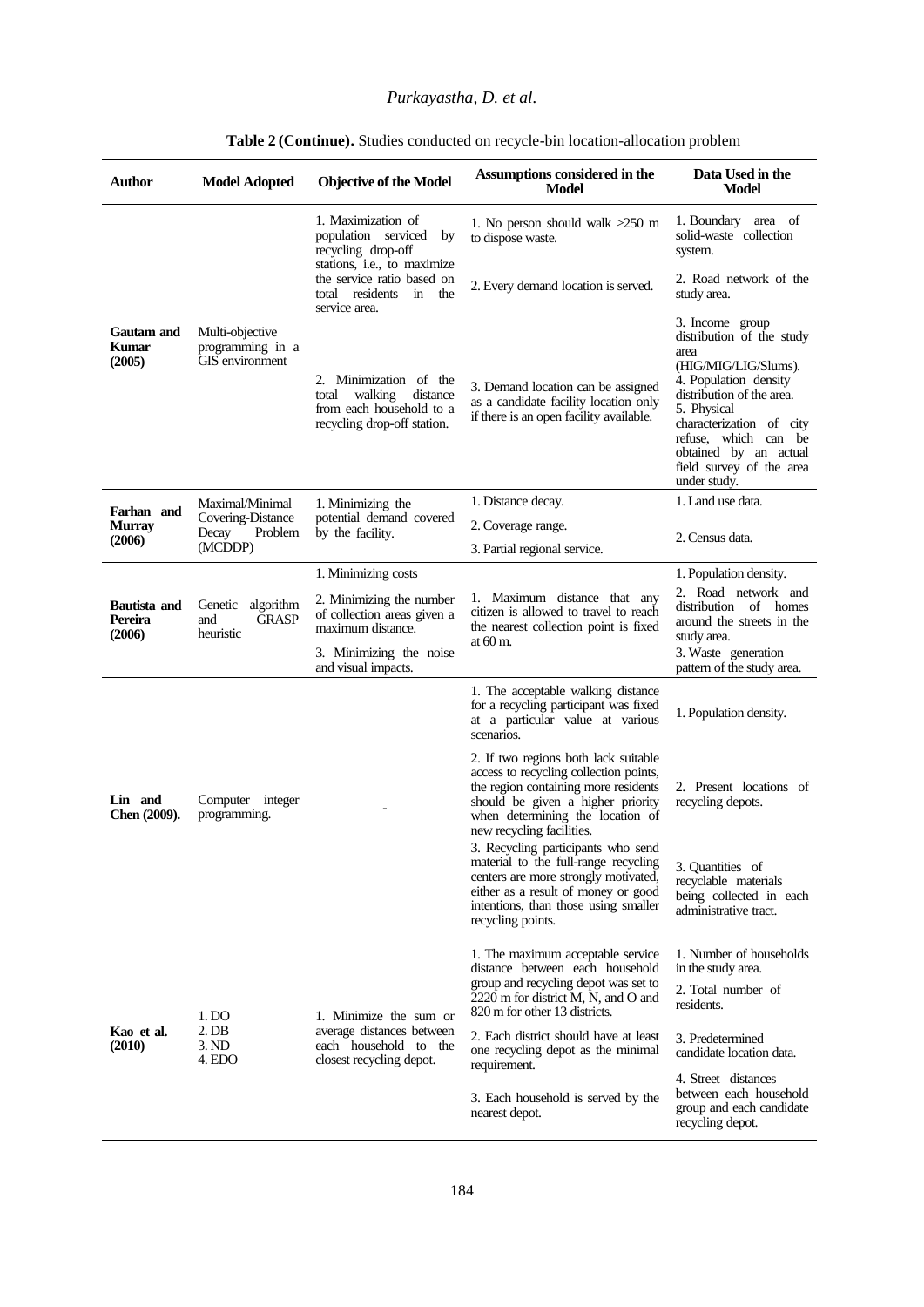## *Purkayastha, D. et al.*

| <b>Author</b>                            | <b>Model Adopted</b>                                     | <b>Objective of the Model</b>                                                                                                                                                               | Assumptions considered in the<br>Model                                                                                                                                                                                       | Data Used in the<br>Model                                                                                                                                                                                                                                                  |
|------------------------------------------|----------------------------------------------------------|---------------------------------------------------------------------------------------------------------------------------------------------------------------------------------------------|------------------------------------------------------------------------------------------------------------------------------------------------------------------------------------------------------------------------------|----------------------------------------------------------------------------------------------------------------------------------------------------------------------------------------------------------------------------------------------------------------------------|
| Gautam and<br>Kumar<br>(2005)            | Multi-objective<br>programming in a<br>GIS environment   | 1. Maximization of<br>population serviced<br>by<br>recycling drop-off<br>stations, <i>i.e.</i> , to maximize<br>the service ratio based on<br>total residents<br>in<br>the<br>service area. | 1. No person should walk $>250$ m<br>to dispose waste.                                                                                                                                                                       | 1. Boundary area of<br>solid-waste collection<br>system.                                                                                                                                                                                                                   |
|                                          |                                                          |                                                                                                                                                                                             | 2. Every demand location is served.                                                                                                                                                                                          | 2. Road network of the<br>study area.                                                                                                                                                                                                                                      |
|                                          |                                                          | 2. Minimization of the<br>walking<br>distance<br>total<br>from each household to a<br>recycling drop-off station.                                                                           | 3. Demand location can be assigned<br>as a candidate facility location only<br>if there is an open facility available.                                                                                                       | 3. Income group<br>distribution of the study<br>area<br>(HIG/MIG/LIG/Slums).<br>4. Population density<br>distribution of the area.<br>5. Physical<br>characterization of city<br>refuse, which can be<br>obtained by an actual<br>field survey of the area<br>under study. |
| Farhan and                               | Maximal/Minimal                                          | 1. Minimizing the<br>potential demand covered<br>by the facility.                                                                                                                           | 1. Distance decay.                                                                                                                                                                                                           | 1. Land use data.                                                                                                                                                                                                                                                          |
| <b>Murray</b>                            | Covering-Distance<br>Decay<br>Problem                    |                                                                                                                                                                                             | 2. Coverage range.                                                                                                                                                                                                           | 2. Census data.                                                                                                                                                                                                                                                            |
| (2006)                                   | (MCDDP)                                                  |                                                                                                                                                                                             | 3. Partial regional service.                                                                                                                                                                                                 |                                                                                                                                                                                                                                                                            |
|                                          |                                                          | 1. Minimizing costs                                                                                                                                                                         | 1. Maximum distance that any<br>citizen is allowed to travel to reach<br>the nearest collection point is fixed<br>at $60 \text{ m}$ .                                                                                        | 1. Population density.                                                                                                                                                                                                                                                     |
| <b>Bautista and</b><br>Pereira<br>(2006) | Genetic<br>algorithm<br><b>GRASP</b><br>and<br>heuristic | 2. Minimizing the number<br>of collection areas given a<br>maximum distance.                                                                                                                |                                                                                                                                                                                                                              | 2. Road network and<br>distribution of homes<br>around the streets in the<br>study area.                                                                                                                                                                                   |
|                                          |                                                          | 3. Minimizing the noise<br>and visual impacts.                                                                                                                                              |                                                                                                                                                                                                                              | 3. Waste generation<br>pattern of the study area.                                                                                                                                                                                                                          |
| Lin and<br>Chen (2009).                  | Computer integer<br>programming.                         |                                                                                                                                                                                             | 1. The acceptable walking distance<br>for a recycling participant was fixed<br>at a particular value at various<br>scenarios.                                                                                                | 1. Population density.                                                                                                                                                                                                                                                     |
|                                          |                                                          |                                                                                                                                                                                             | 2. If two regions both lack suitable<br>access to recycling collection points,<br>the region containing more residents<br>should be given a higher priority<br>when determining the location of<br>new recycling facilities. | 2. Present locations of<br>recycling depots.                                                                                                                                                                                                                               |
|                                          |                                                          |                                                                                                                                                                                             | 3. Recycling participants who send<br>material to the full-range recycling<br>centers are more strongly motivated,<br>either as a result of money or good<br>intentions, than those using smaller<br>recycling points.       | 3. Quantities of<br>recyclable materials<br>being collected in each<br>administrative tract.                                                                                                                                                                               |
| Kao et al.<br>(2010)                     | 1. DO<br>2. DB<br>3. ND<br>4. EDO                        | 1. Minimize the sum or<br>average distances between<br>each household to the<br>closest recycling depot.                                                                                    | 1. The maximum acceptable service<br>distance between each household<br>group and recycling depot was set to<br>2220 m for district M, N, and O and<br>820 m for other 13 districts.                                         | 1. Number of households<br>in the study area.<br>2. Total number of<br>residents.                                                                                                                                                                                          |
|                                          |                                                          |                                                                                                                                                                                             | 2. Each district should have at least<br>one recycling depot as the minimal<br>requirement.                                                                                                                                  | 3. Predetermined<br>candidate location data.                                                                                                                                                                                                                               |
|                                          |                                                          |                                                                                                                                                                                             | 3. Each household is served by the<br>nearest depot.                                                                                                                                                                         | 4. Street distances<br>between each household<br>group and each candidate<br>recycling depot.                                                                                                                                                                              |
|                                          |                                                          |                                                                                                                                                                                             |                                                                                                                                                                                                                              |                                                                                                                                                                                                                                                                            |

#### Table 2 (Continue). Studies conducted on recycle-bin location-allocation problem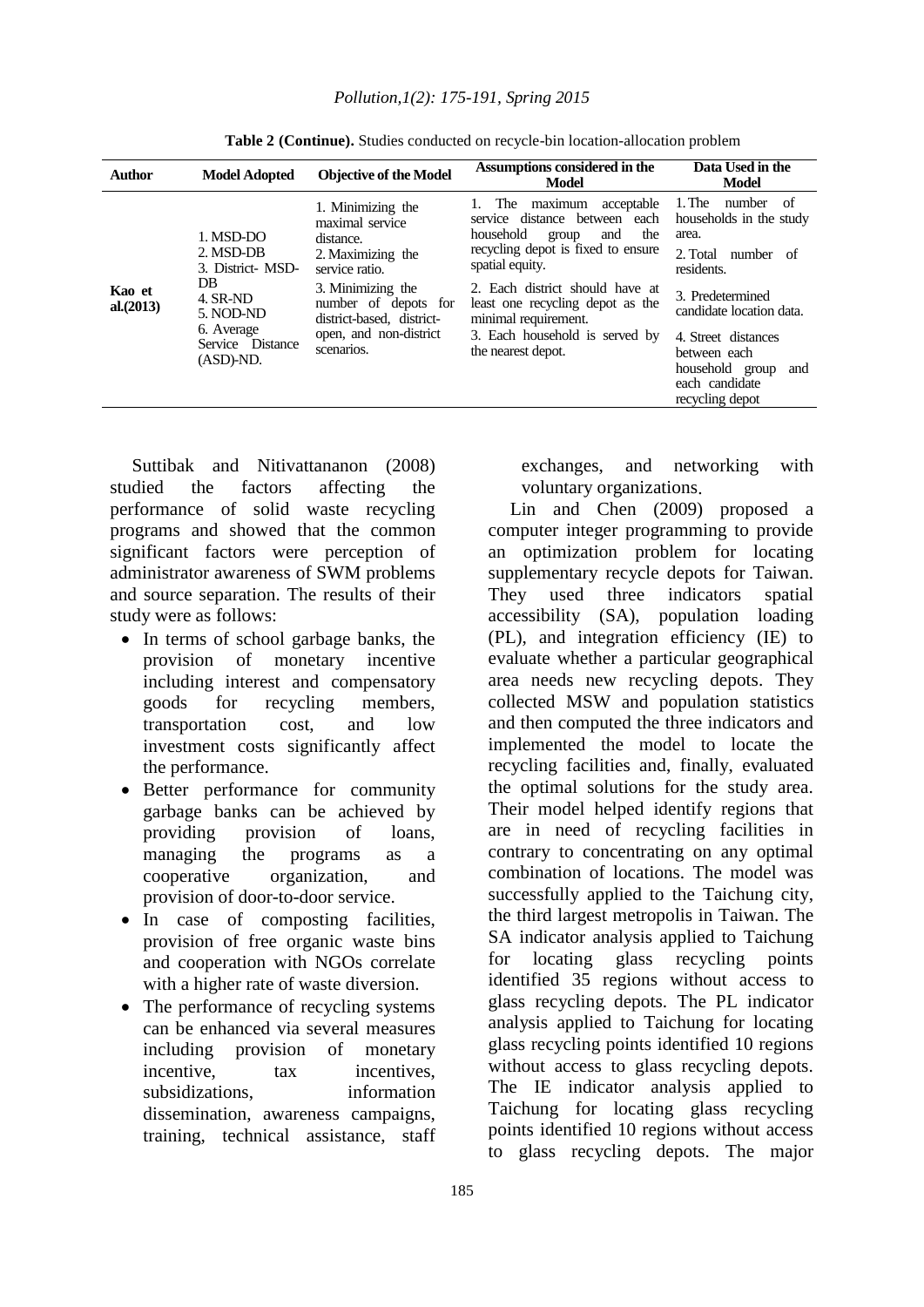| <b>Author</b>       | <b>Model Adopted</b>                                           | <b>Objective of the Model</b>                                                                                                                                                                              | Assumptions considered in the<br>Model                                                                                                                                                                                                                                                                            | Data Used in the<br><b>Model</b>                                                                                               |
|---------------------|----------------------------------------------------------------|------------------------------------------------------------------------------------------------------------------------------------------------------------------------------------------------------------|-------------------------------------------------------------------------------------------------------------------------------------------------------------------------------------------------------------------------------------------------------------------------------------------------------------------|--------------------------------------------------------------------------------------------------------------------------------|
| Kao et<br>al.(2013) | 1. MSD-DO<br>2. MSD-DB<br>3. District- MSD-<br>DB.<br>4. SR-ND | 1. Minimizing the<br>maximal service<br>distance.<br>2. Maximizing the<br>service ratio.<br>3. Minimizing the<br>number of depots for<br>district-based, district-<br>open, and non-district<br>scenarios. | acceptable<br>maximum<br>The<br>service distance between each<br>household<br>the<br>and<br>group<br>recycling depot is fixed to ensure<br>spatial equity.<br>2. Each district should have at<br>least one recycling depot as the<br>minimal requirement.<br>3. Each household is served by<br>the nearest depot. | $1.$ The<br>number<br>of<br>households in the study<br>area.<br>2. Total<br>number of<br>residents.<br>3. Predetermined        |
|                     | 5. NOD-ND<br>6. Average<br>Service Distance<br>$(ASD)-ND.$     |                                                                                                                                                                                                            |                                                                                                                                                                                                                                                                                                                   | candidate location data.<br>4. Street distances<br>between each<br>household group<br>and<br>each candidate<br>recycling depot |

Table 2 (Continue). Studies conducted on recycle-bin location-allocation problem

Suttibak and Nitivattananon (2008) studied the factors affecting the performance of solid waste recycling programs and showed that the common significant factors were perception of administrator awareness of SWM problems and source separation. The results of their study were as follows:

- In terms of school garbage banks, the provision of monetary incentive including interest and compensatory goods for recycling members, transportation cost, and low investment costs significantly affect the performance.
- Better performance for community garbage banks can be achieved by providing provision of loans, managing the programs as a cooperative organization, and provision of door-to-door service.
- In case of composting facilities, provision of free organic waste bins and cooperation with NGOs correlate with a higher rate of waste diversion.
- The performance of recycling systems can be enhanced via several measures including provision of monetary incentive, tax incentives, subsidizations, information dissemination, awareness campaigns, training, technical assistance, staff

exchanges, and networking with voluntary organizations.

Lin and Chen (2009) proposed a computer integer programming to provide an optimization problem for locating supplementary recycle depots for Taiwan. They used three indicators spatial accessibility (SA), population loading (PL), and integration efficiency (IE) to evaluate whether a particular geographical area needs new recycling depots. They collected MSW and population statistics and then computed the three indicators and implemented the model to locate the recycling facilities and, finally, evaluated the optimal solutions for the study area. Their model helped identify regions that are in need of recycling facilities in contrary to concentrating on any optimal combination of locations. The model was successfully applied to the Taichung city, the third largest metropolis in Taiwan. The SA indicator analysis applied to Taichung for locating glass recycling points identified 35 regions without access to glass recycling depots. The PL indicator analysis applied to Taichung for locating glass recycling points identified 10 regions without access to glass recycling depots. The IE indicator analysis applied to Taichung for locating glass recycling points identified 10 regions without access to glass recycling depots. The major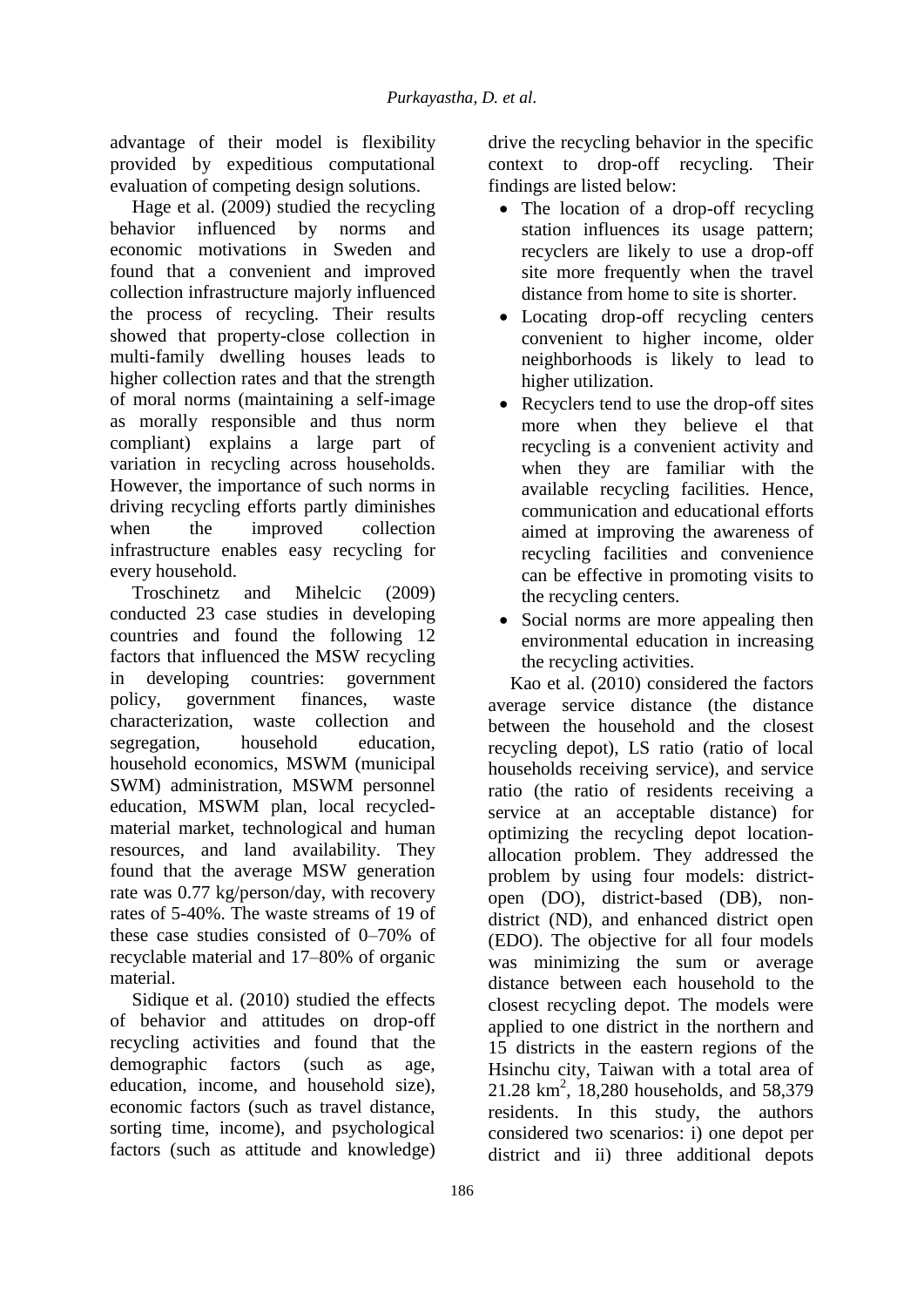advantage of their model is flexibility provided by expeditious computational evaluation of competing design solutions.

Hage et al. (2009) studied the recycling behavior influenced by norms and economic motivations in Sweden and found that a convenient and improved collection infrastructure majorly influenced the process of recycling. Their results showed that property-close collection in multi-family dwelling houses leads to higher collection rates and that the strength of moral norms (maintaining a self-image as morally responsible and thus norm compliant) explains a large part of variation in recycling across households. However, the importance of such norms in driving recycling efforts partly diminishes when the improved collection infrastructure enables easy recycling for every household.

Troschinetz and Mihelcic (2009) conducted 23 case studies in developing countries and found the following 12 factors that influenced the MSW recycling in developing countries: government policy, government finances, waste characterization, waste collection and segregation, household education, household economics, MSWM (municipal SWM) administration, MSWM personnel education, MSWM plan, local recycledmaterial market, technological and human resources, and land availability. They found that the average MSW generation rate was 0.77 kg/person/day, with recovery rates of 5-40%. The waste streams of 19 of these case studies consisted of 0–70% of recyclable material and 17–80% of organic material.

Sidique et al. (2010) studied the effects of behavior and attitudes on drop-off recycling activities and found that the demographic factors (such as age, education, income, and household size), economic factors (such as travel distance, sorting time, income), and psychological factors (such as attitude and knowledge)

drive the recycling behavior in the specific context to drop-off recycling. Their findings are listed below:

- The location of a drop-off recycling station influences its usage pattern; recyclers are likely to use a drop-off site more frequently when the travel distance from home to site is shorter.
- Locating drop-off recycling centers convenient to higher income, older neighborhoods is likely to lead to higher utilization.
- Recyclers tend to use the drop-off sites more when they believe el that recycling is a convenient activity and when they are familiar with the available recycling facilities. Hence, communication and educational efforts aimed at improving the awareness of recycling facilities and convenience can be effective in promoting visits to the recycling centers.
- Social norms are more appealing then environmental education in increasing the recycling activities.

Kao et al. (2010) considered the factors average service distance (the distance between the household and the closest recycling depot), LS ratio (ratio of local households receiving service), and service ratio (the ratio of residents receiving a service at an acceptable distance) for optimizing the recycling depot locationallocation problem. They addressed the problem by using four models: districtopen (DO), district-based (DB), nondistrict (ND), and enhanced district open (EDO). The objective for all four models was minimizing the sum or average distance between each household to the closest recycling depot. The models were applied to one district in the northern and 15 districts in the eastern regions of the Hsinchu city, Taiwan with a total area of 21.28 km<sup>2</sup>, 18,280 households, and 58,379 residents. In this study, the authors considered two scenarios: i) one depot per district and ii) three additional depots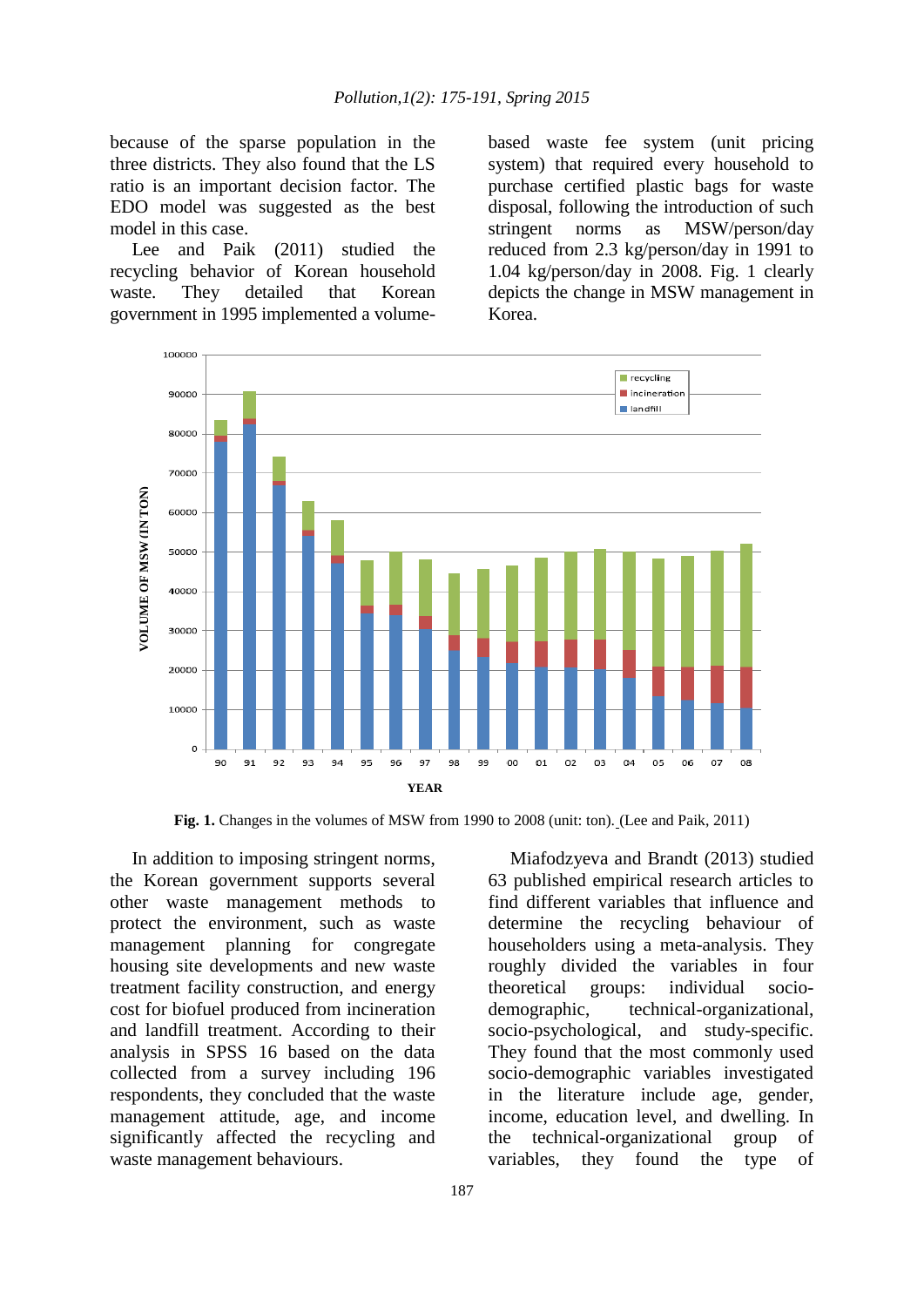because of the sparse population in the three districts. They also found that the LS ratio is an important decision factor. The EDO model was suggested as the best model in this case.

Lee and Paik (2011) studied the recycling behavior of Korean household waste. They detailed that Korean government in 1995 implemented a volumebased waste fee system (unit pricing system) that required every household to purchase certified plastic bags for waste disposal, following the introduction of such stringent norms as MSW/person/day reduced from 2.3 kg/person/day in 1991 to 1.04 kg/person/day in 2008. Fig. 1 clearly depicts the change in MSW management in Korea.



Fig. 1. Changes in the volumes of MSW from 1990 to 2008 (unit: ton). (Lee and Paik, 2011)

In addition to imposing stringent norms, the Korean government supports several other waste management methods to protect the environment, such as waste management planning for congregate housing site developments and new waste treatment facility construction, and energy cost for biofuel produced from incineration and landfill treatment. According to their analysis in SPSS 16 based on the data collected from a survey including 196 respondents, they concluded that the waste management attitude, age, and income significantly affected the recycling and waste management behaviours.

Miafodzyeva and Brandt (2013) studied 63 published empirical research articles to find different variables that influence and determine the recycling behaviour of householders using a meta-analysis. They roughly divided the variables in four theoretical groups: individual sociodemographic, technical-organizational, socio-psychological, and study-specific. They found that the most commonly used socio-demographic variables investigated in the literature include age, gender, income, education level, and dwelling. In the technical-organizational group of variables, they found the type of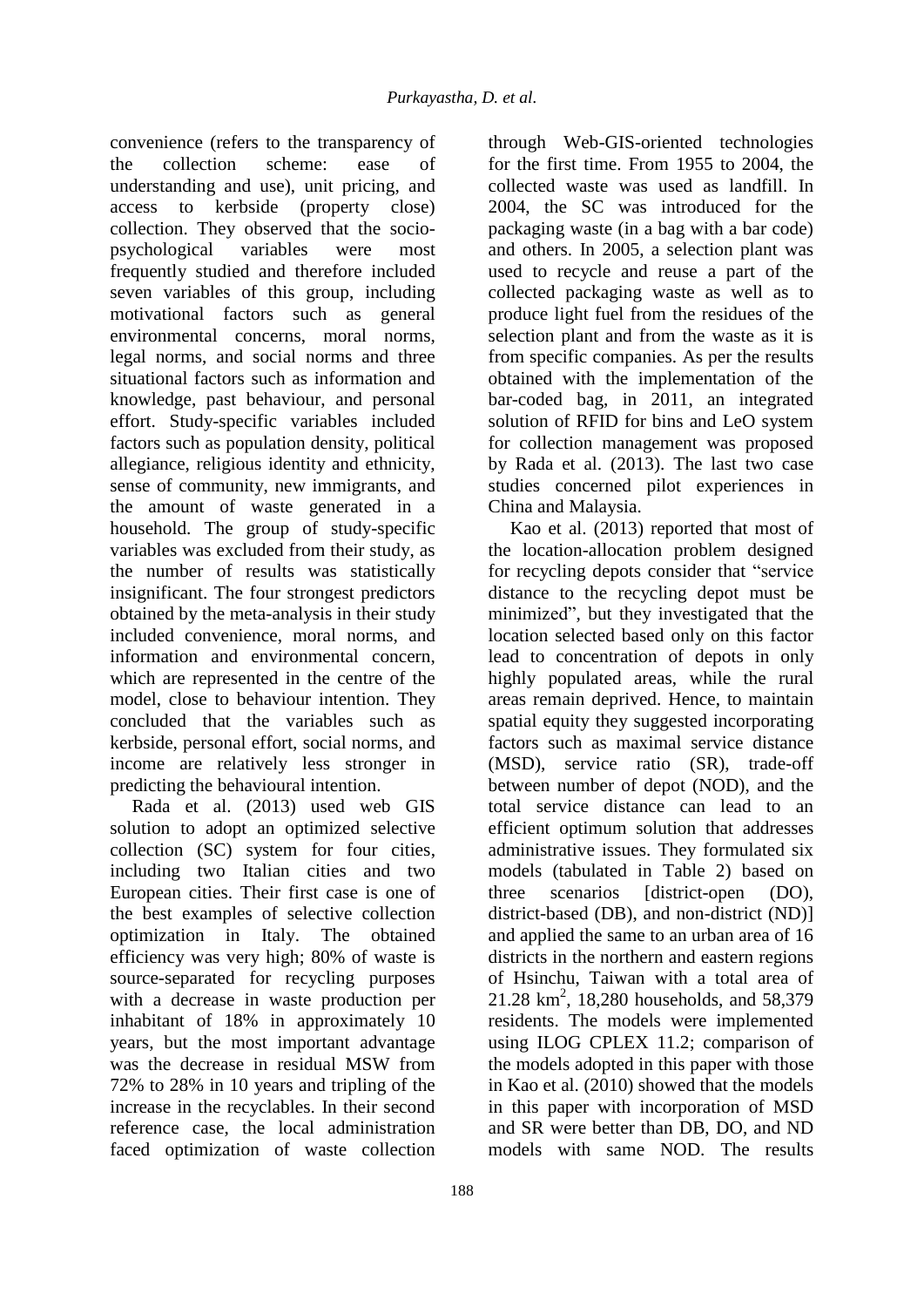convenience (refers to the transparency of the collection scheme: ease of understanding and use), unit pricing, and access to kerbside (property close) collection. They observed that the sociopsychological variables were most frequently studied and therefore included seven variables of this group, including motivational factors such as general environmental concerns, moral norms, legal norms, and social norms and three situational factors such as information and knowledge, past behaviour, and personal effort. Study-specific variables included factors such as population density, political allegiance, religious identity and ethnicity, sense of community, new immigrants, and the amount of waste generated in a household. The group of study-specific variables was excluded from their study, as the number of results was statistically insignificant. The four strongest predictors obtained by the meta-analysis in their study included convenience, moral norms, and information and environmental concern, which are represented in the centre of the model, close to behaviour intention. They concluded that the variables such as kerbside, personal effort, social norms, and income are relatively less stronger in predicting the behavioural intention.

Rada et al. (2013) used web GIS solution to adopt an optimized selective collection (SC) system for four cities, including two Italian cities and two European cities. Their first case is one of the best examples of selective collection optimization in Italy. The obtained efficiency was very high; 80% of waste is source-separated for recycling purposes with a decrease in waste production per inhabitant of 18% in approximately 10 years, but the most important advantage was the decrease in residual MSW from 72% to 28% in 10 years and tripling of the increase in the recyclables. In their second reference case, the local administration faced optimization of waste collection

188

through Web-GIS-oriented technologies for the first time. From 1955 to 2004, the collected waste was used as landfill. In 2004, the SC was introduced for the packaging waste (in a bag with a bar code) and others. In 2005, a selection plant was used to recycle and reuse a part of the collected packaging waste as well as to produce light fuel from the residues of the selection plant and from the waste as it is from specific companies. As per the results obtained with the implementation of the bar-coded bag, in 2011, an integrated solution of RFID for bins and LeO system for collection management was proposed by Rada et al. (2013). The last two case studies concerned pilot experiences in China and Malaysia.

Kao et al. (2013) reported that most of the location-allocation problem designed for recycling depots consider that "service distance to the recycling depot must be minimized", but they investigated that the location selected based only on this factor lead to concentration of depots in only highly populated areas, while the rural areas remain deprived. Hence, to maintain spatial equity they suggested incorporating factors such as maximal service distance (MSD), service ratio (SR), trade-off between number of depot (NOD), and the total service distance can lead to an efficient optimum solution that addresses administrative issues. They formulated six models (tabulated in Table 2) based on three scenarios [district-open (DO), district-based (DB), and non-district (ND)] and applied the same to an urban area of 16 districts in the northern and eastern regions of Hsinchu, Taiwan with a total area of 21.28 km<sup>2</sup>, 18,280 households, and 58,379 residents. The models were implemented using ILOG CPLEX 11.2; comparison of the models adopted in this paper with those in Kao et al. (2010) showed that the models in this paper with incorporation of MSD and SR were better than DB, DO, and ND models with same NOD. The results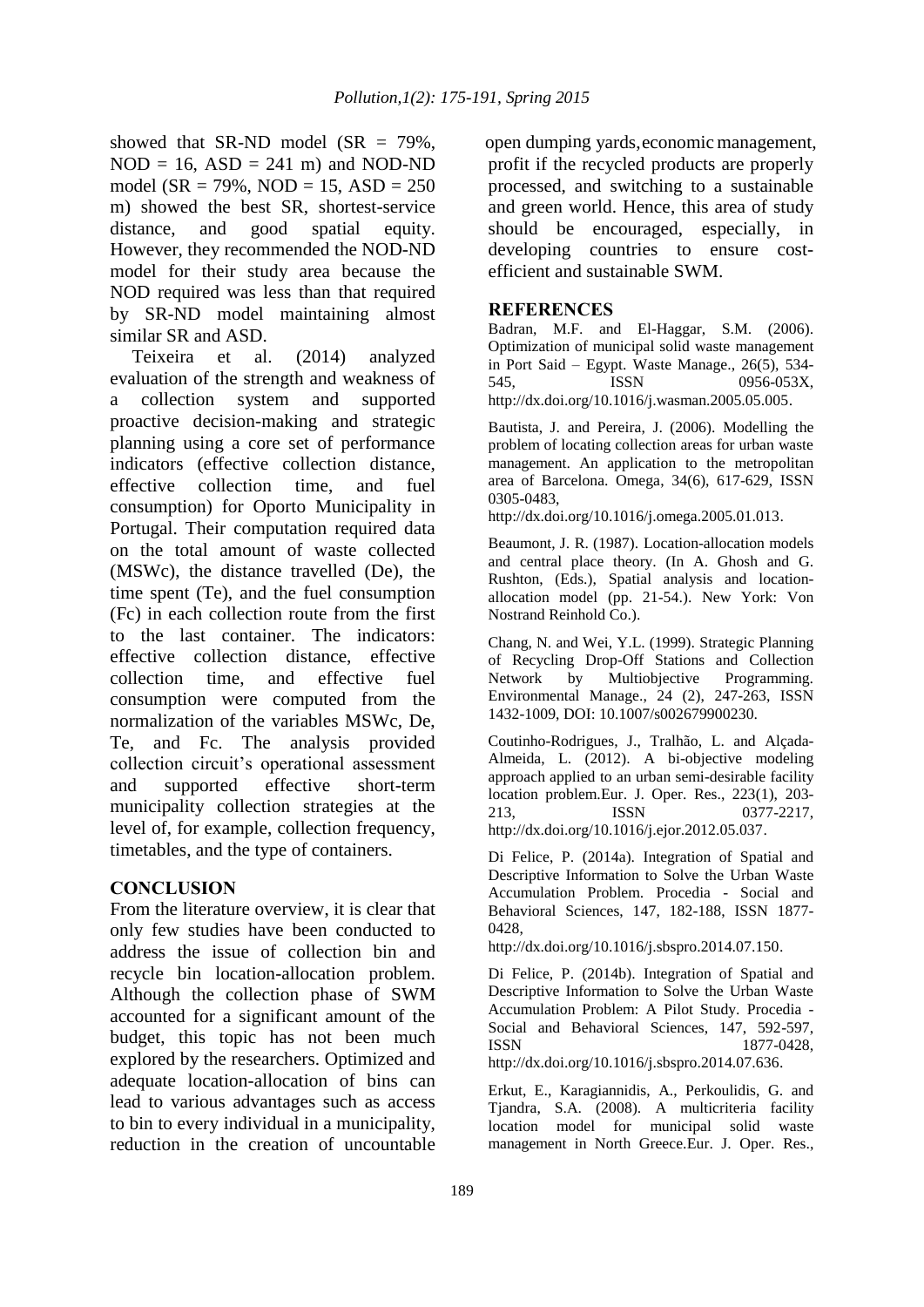showed that SR-ND model (SR  $= 79\%$ ,  $NOD = 16$ ,  $ASD = 241$  m) and  $NOD-ND$ model ( $SR = 79\%$ ,  $NOD = 15$ ,  $ASD = 250$ m) showed the best SR, shortest-service distance, and good spatial equity. However, they recommended the NOD-ND model for their study area because the NOD required was less than that required by SR-ND model maintaining almost similar SR and ASD.

Teixeira et al. (2014) analyzed evaluation of the strength and weakness of collection system and supported proactive decision-making and strategic planning using a core set of performance indicators (effective collection distance, effective collection time, and fuel consumption) for Oporto Municipality in Portugal. Their computation required data on the total amount of waste collected (MSWc), the distance travelled (De), the time spent (Te), and the fuel consumption (Fc) in each collection route from the first to the last container. The indicators: effective collection distance, effective collection time, and effective fuel consumption were computed from the normalization of the variables MSWc, De, Te, and Fc. The analysis provided collection circuit's operational assessment and supported effective short-term municipality collection strategies at the level of, for example, collection frequency, timetables, and the type of containers.

## **CONCLUSION**

From the literature overview, it is clear that only few studies have been conducted to address the issue of collection bin and recycle bin location-allocation problem. Although the collection phase of SWM accounted for a significant amount of the budget, this topic has not been much explored by the researchers. Optimized and adequate location-allocation of bins can lead to various advantages such as access to bin to every individual in a municipality, reduction in the creation of uncountable

open dumping yards, economic management, profit if the recycled products are properly processed, and switching to a sustainable and green world. Hence, this area of study should be encouraged, especially, in developing countries to ensure costefficient and sustainable SWM.

## **REFERENCES**

Badran, M.F. and El-Haggar, S.M. (2006). Optimization of municipal solid waste management in Port Said – Egypt. Waste Manage., 26(5), 534- 545, ISSN 0956-053X, http://dx.doi.org/10.1016/j.wasman.2005.05.005.

Bautista, J. and Pereira, J. (2006). Modelling the problem of locating collection areas for urban waste management. An application to the metropolitan area of Barcelona. Omega, 34(6), 617-629, ISSN 0305-0483,

http://dx.doi.org/10.1016/j.omega.2005.01.013.

Beaumont, J. R. (1987). Location-allocation models and central place theory. (In A. Ghosh and G. Rushton, (Eds.), Spatial analysis and locationallocation model (pp. 21-54.). New York: Von Nostrand Reinhold Co.).

Chang, N. and Wei, Y.L. (1999). Strategic Planning of Recycling Drop-Off Stations and Collection Network by Multiobjective Programming. Environmental Manage., 24 (2), 247-263, ISSN 1432-1009, DOI: 10.1007/s002679900230.

Coutinho-Rodrigues, J., Tralhão, L. and Alçada-Almeida, L. (2012). A bi-objective modeling approach applied to an urban semi-desirable facility location problem.Eur. J. Oper. Res., 223(1), 203- 213, **ISSN** 0377-2217, http://dx.doi.org/10.1016/j.ejor.2012.05.037.

Di Felice, P. (2014a). Integration of Spatial and Descriptive Information to Solve the Urban Waste Accumulation Problem. Procedia - Social and Behavioral Sciences, 147, 182-188, ISSN 1877- 0428,

http://dx.doi.org/10.1016/j.sbspro.2014.07.150.

Di Felice, P. (2014b). Integration of Spatial and Descriptive Information to Solve the Urban Waste Accumulation Problem: A Pilot Study. Procedia - Social and Behavioral Sciences, 147, 592-597, ISSN 1877-0428, http://dx.doi.org/10.1016/j.sbspro.2014.07.636.

Erkut, E., Karagiannidis, A., Perkoulidis, G. and Tjandra, S.A. (2008). A multicriteria facility location model for municipal solid waste management in North Greece.Eur. J. Oper. Res.,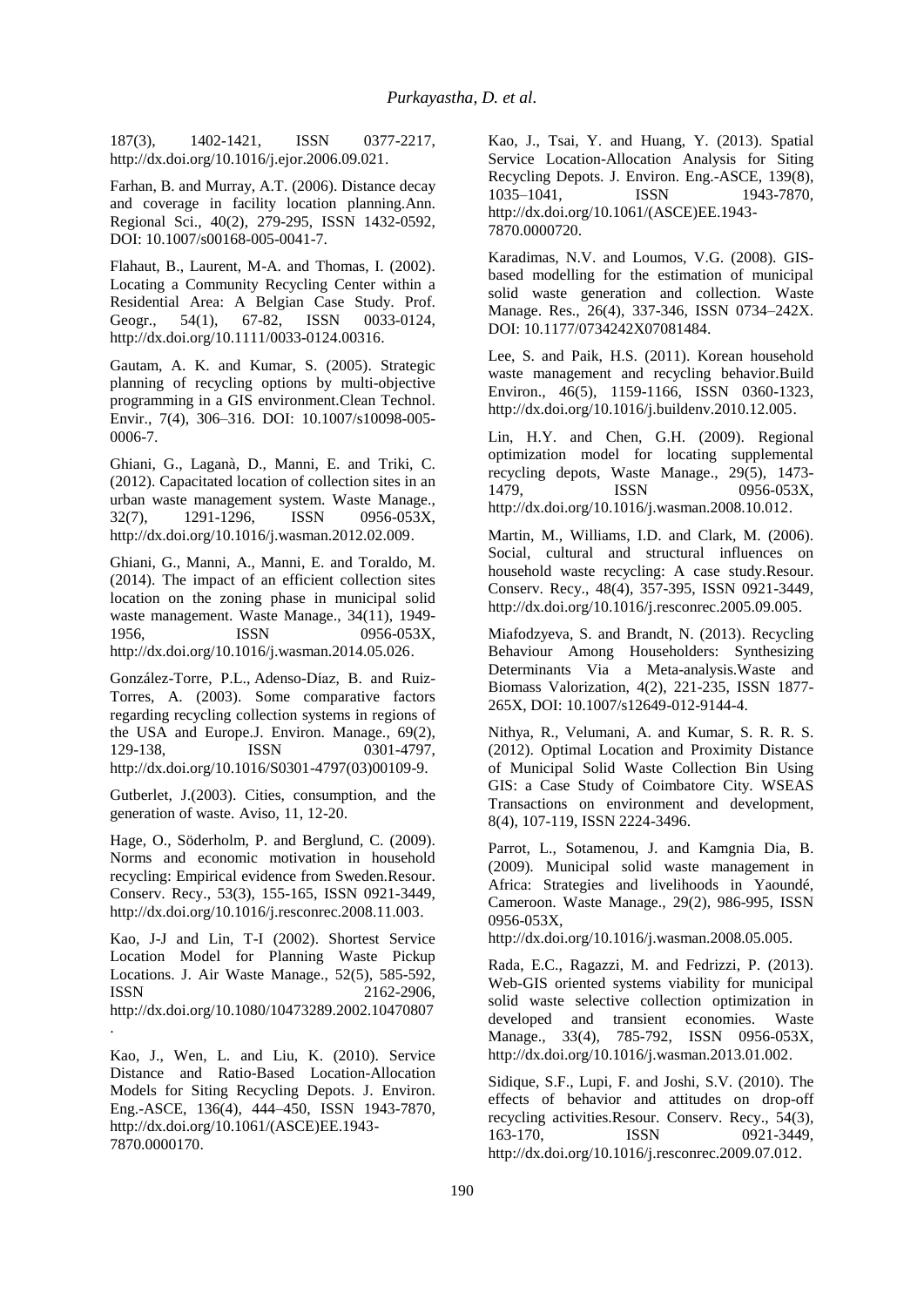187(3), 1402-1421, ISSN 0377-2217, http://dx.doi.org/10.1016/j.ejor.2006.09.021.

Farhan, B. and Murray, A.T. (2006). Distance decay and coverage in facility location planning.Ann. Regional Sci., 40(2), 279-295, ISSN 1432-0592, DOI: 10.1007/s00168-005-0041-7.

Flahaut, B., Laurent, M-A. and Thomas, I. (2002). Locating a Community Recycling Center within a Residential Area: A Belgian Case Study. Prof. Geogr., 54(1), 67-82, ISSN 0033-0124, http://dx.doi.org/10.1111/0033-0124.00316.

Gautam, A. K. and Kumar, S. (2005). Strategic planning of recycling options by multi-objective programming in a GIS environment.Clean Technol. Envir., 7(4), 306–316. DOI: 10.1007/s10098-005- 0006-7.

Ghiani, G., Laganà, D., Manni, E. and Triki, C. (2012). Capacitated location of collection sites in an urban waste management system. Waste Manage., 32(7), 1291-1296, ISSN 0956-053X, http://dx.doi.org/10.1016/j.wasman.2012.02.009.

Ghiani, G., Manni, A., Manni, E. and Toraldo, M. (2014). The impact of an efficient collection sites location on the zoning phase in municipal solid waste management. Waste Manage., 34(11), 1949- 1956, **ISSN** 0956-053X, http://dx.doi.org/10.1016/j.wasman.2014.05.026.

González-Torre, P.L., Adenso-Dı́az, B. and Ruiz-Torres, A. (2003). Some comparative factors regarding recycling collection systems in regions of the USA and Europe.J. Environ. Manage., 69(2), 129-138, **ISSN** 0301-4797, http://dx.doi.org/10.1016/S0301-4797(03)00109-9.

Gutberlet, J.(2003). Cities, consumption, and the generation of waste. Aviso, 11, 12-20.

Hage, O., Söderholm, P. and Berglund, C. (2009). Norms and economic motivation in household recycling: Empirical evidence from Sweden.Resour. Conserv. Recy., 53(3), 155-165, ISSN 0921-3449, http://dx.doi.org/10.1016/j.resconrec.2008.11.003.

Kao, J-J and Lin, T-I (2002). Shortest Service Location Model for Planning Waste Pickup Locations. J. Air Waste Manage., 52(5), 585-592, ISSN 2162-2906, http://dx.doi.org/10.1080/10473289.2002.10470807 .

Kao, J., Wen, L. and Liu, K. (2010). Service Distance and Ratio-Based Location-Allocation Models for Siting Recycling Depots. J. Environ. Eng.-ASCE, 136(4), 444–450, ISSN 1943-7870, http://dx.doi.org/10.1061/(ASCE)EE.1943- 7870.0000170.

Kao, J., Tsai, Y. and Huang, Y. (2013). Spatial Service Location-Allocation Analysis for Siting Recycling Depots. J. Environ. Eng.-ASCE, 139(8), 1035–1041, **ISSN** 1943-7870, http://dx.doi.org/10.1061/(ASCE)EE.1943- 7870.0000720.

Karadimas, N.V. and Loumos, V.G. (2008). GISbased modelling for the estimation of municipal solid waste generation and collection. Waste Manage. Res., 26(4), 337-346, ISSN 0734–242X. DOI: 10.1177/0734242X07081484.

Lee, S. and Paik, H.S. (2011). Korean household waste management and recycling behavior.Build Environ., 46(5), 1159-1166, ISSN 0360-1323, http://dx.doi.org/10.1016/j.buildenv.2010.12.005.

Lin, H.Y. and Chen, G.H. (2009). Regional optimization model for locating supplemental recycling depots, Waste Manage., 29(5), 1473- 1479, **ISSN** 0956-053X, http://dx.doi.org/10.1016/j.wasman.2008.10.012.

Martin, M., Williams, I.D. and Clark, M. (2006). Social, cultural and structural influences on household waste recycling: A case study.Resour. Conserv. Recy., 48(4), 357-395, ISSN 0921-3449, http://dx.doi.org/10.1016/j.resconrec.2005.09.005.

Miafodzyeva, S. and Brandt, N. (2013). Recycling Behaviour Among Householders: Synthesizing Determinants Via a Meta-analysis.Waste and Biomass Valorization, 4(2), 221-235, ISSN 1877- 265X, DOI: 10.1007/s12649-012-9144-4.

Nithya, R., Velumani, A. and Kumar, S. R. R. S. (2012). Optimal Location and Proximity Distance of Municipal Solid Waste Collection Bin Using GIS: a Case Study of Coimbatore City. WSEAS Transactions on environment and development, 8(4), 107-119, ISSN 2224-3496.

Parrot, L., Sotamenou, J. and Kamgnia Dia, B. (2009). Municipal solid waste management in Africa: Strategies and livelihoods in Yaoundé, Cameroon. Waste Manage., 29(2), 986-995, ISSN 0956-053X,

http://dx.doi.org/10.1016/j.wasman.2008.05.005.

Rada, E.C., Ragazzi, M. and Fedrizzi, P. (2013). Web-GIS oriented systems viability for municipal solid waste selective collection optimization in developed and transient economies. Waste Manage., 33(4), 785-792, ISSN 0956-053X, http://dx.doi.org/10.1016/j.wasman.2013.01.002.

Sidique, S.F., Lupi, F. and Joshi, S.V. (2010). The effects of behavior and attitudes on drop-off recycling activities.Resour. Conserv. Recy., 54(3), 163-170, **ISSN** 0921-3449, http://dx.doi.org/10.1016/j.resconrec.2009.07.012.